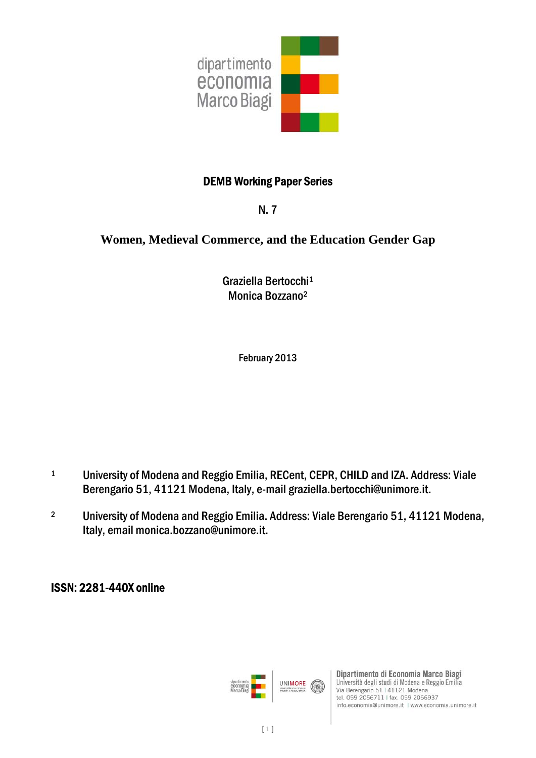

# DEMB Working Paper Series

N. 7

# **Women, Medieval Commerce, and the Education Gender Gap**

Graziella Bertocchi1 Monica Bozzano2

February 2013

- 1 University of Modena and Reggio Emilia, RECent, CEPR, CHILD and IZA. Address: Viale Berengario 51, 41121 Modena, Italy, e-mail graziella.bertocchi@unimore.it.
- 2 University of Modena and Reggio Emilia. Address: Viale Berengario 51, 41121 Modena, Italy, email monica.bozzano@unimore.it.

# ISSN: 2281-440X online



Dipartimento di Economia Marco Biagi Università degli studi di Modena e Reggio Emilia Via Berengario 51 | 41121 Modena tel. 059 2056711 | fax. 059 2056937 info.economia@unimore.it | www.economia.unimore.it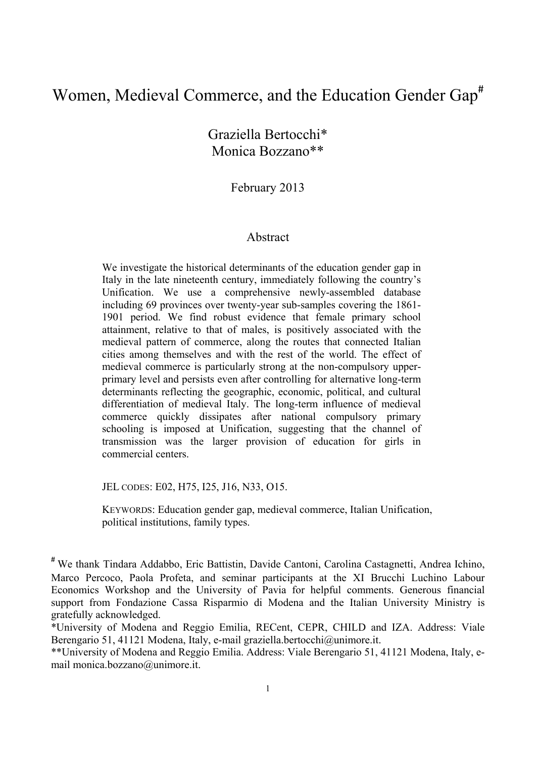# Women, Medieval Commerce, and the Education Gender Gap<sup>#</sup>

Graziella Bertocchi\* Monica Bozzano\*\*

February 2013

## Abstract

We investigate the historical determinants of the education gender gap in Italy in the late nineteenth century, immediately following the country's Unification. We use a comprehensive newly-assembled database including 69 provinces over twenty-year sub-samples covering the 1861- 1901 period. We find robust evidence that female primary school attainment, relative to that of males, is positively associated with the medieval pattern of commerce, along the routes that connected Italian cities among themselves and with the rest of the world. The effect of medieval commerce is particularly strong at the non-compulsory upperprimary level and persists even after controlling for alternative long-term determinants reflecting the geographic, economic, political, and cultural differentiation of medieval Italy. The long-term influence of medieval commerce quickly dissipates after national compulsory primary schooling is imposed at Unification, suggesting that the channel of transmission was the larger provision of education for girls in commercial centers.

JEL CODES: E02, H75, I25, J16, N33, O15.

KEYWORDS: Education gender gap, medieval commerce, Italian Unification, political institutions, family types.

\*\*University of Modena and Reggio Emilia. Address: Viale Berengario 51, 41121 Modena, Italy, email monica.bozzano@unimore.it.

<sup>#</sup> We thank Tindara Addabbo, Eric Battistin, Davide Cantoni, Carolina Castagnetti, Andrea Ichino, Marco Percoco, Paola Profeta, and seminar participants at the XI Brucchi Luchino Labour Economics Workshop and the University of Pavia for helpful comments. Generous financial support from Fondazione Cassa Risparmio di Modena and the Italian University Ministry is gratefully acknowledged.

<sup>\*</sup>University of Modena and Reggio Emilia, RECent, CEPR, CHILD and IZA. Address: Viale Berengario 51, 41121 Modena, Italy, e-mail graziella.bertocchi@unimore.it.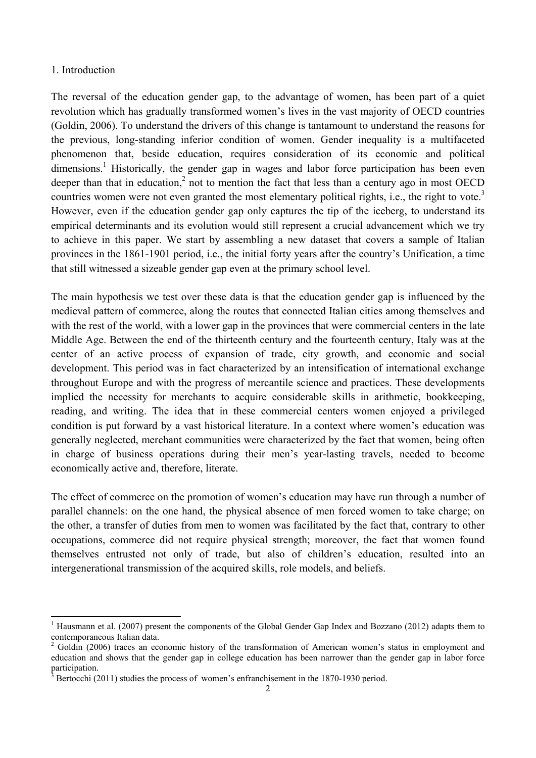#### 1. Introduction

The reversal of the education gender gap, to the advantage of women, has been part of a quiet revolution which has gradually transformed women's lives in the vast majority of OECD countries (Goldin, 2006). To understand the drivers of this change is tantamount to understand the reasons for the previous, long-standing inferior condition of women. Gender inequality is a multifaceted phenomenon that, beside education, requires consideration of its economic and political dimensions.<sup>1</sup> Historically, the gender gap in wages and labor force participation has been even deeper than that in education,<sup>2</sup> not to mention the fact that less than a century ago in most OECD countries women were not even granted the most elementary political rights, i.e., the right to vote.<sup>3</sup> However, even if the education gender gap only captures the tip of the iceberg, to understand its empirical determinants and its evolution would still represent a crucial advancement which we try to achieve in this paper. We start by assembling a new dataset that covers a sample of Italian provinces in the 1861-1901 period, i.e., the initial forty years after the country's Unification, a time that still witnessed a sizeable gender gap even at the primary school level.

The main hypothesis we test over these data is that the education gender gap is influenced by the medieval pattern of commerce, along the routes that connected Italian cities among themselves and with the rest of the world, with a lower gap in the provinces that were commercial centers in the late Middle Age. Between the end of the thirteenth century and the fourteenth century, Italy was at the center of an active process of expansion of trade, city growth, and economic and social development. This period was in fact characterized by an intensification of international exchange throughout Europe and with the progress of mercantile science and practices. These developments implied the necessity for merchants to acquire considerable skills in arithmetic, bookkeeping, reading, and writing. The idea that in these commercial centers women enjoyed a privileged condition is put forward by a vast historical literature. In a context where women's education was generally neglected, merchant communities were characterized by the fact that women, being often in charge of business operations during their men's year-lasting travels, needed to become economically active and, therefore, literate.

The effect of commerce on the promotion of women's education may have run through a number of parallel channels: on the one hand, the physical absence of men forced women to take charge; on the other, a transfer of duties from men to women was facilitated by the fact that, contrary to other occupations, commerce did not require physical strength; moreover, the fact that women found themselves entrusted not only of trade, but also of children's education, resulted into an intergenerational transmission of the acquired skills, role models, and beliefs.

<sup>1</sup> Hausmann et al. (2007) present the components of the Global Gender Gap Index and Bozzano (2012) adapts them to contemporaneous Italian data.

<sup>2</sup> Goldin (2006) traces an economic history of the transformation of American women's status in employment and education and shows that the gender gap in college education has been narrower than the gender gap in labor force participation.

<sup>3</sup> Bertocchi (2011) studies the process of women's enfranchisement in the 1870-1930 period.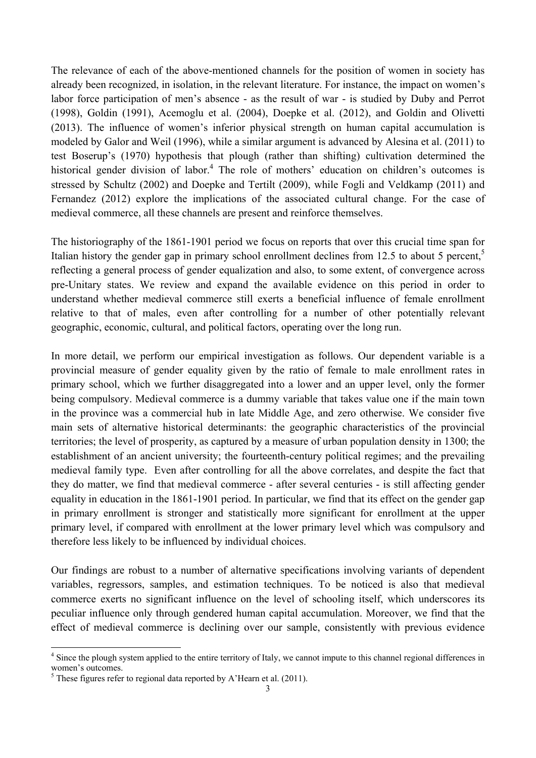The relevance of each of the above-mentioned channels for the position of women in society has already been recognized, in isolation, in the relevant literature. For instance, the impact on women's labor force participation of men's absence - as the result of war - is studied by Duby and Perrot (1998), Goldin (1991), Acemoglu et al. (2004), Doepke et al. (2012), and Goldin and Olivetti (2013). The influence of women's inferior physical strength on human capital accumulation is modeled by Galor and Weil (1996), while a similar argument is advanced by Alesina et al. (2011) to test Boserup's (1970) hypothesis that plough (rather than shifting) cultivation determined the historical gender division of labor.<sup>4</sup> The role of mothers' education on children's outcomes is stressed by Schultz (2002) and Doepke and Tertilt (2009), while Fogli and Veldkamp (2011) and Fernandez (2012) explore the implications of the associated cultural change. For the case of medieval commerce, all these channels are present and reinforce themselves.

The historiography of the 1861-1901 period we focus on reports that over this crucial time span for Italian history the gender gap in primary school enrollment declines from 12.5 to about 5 percent.<sup>5</sup> reflecting a general process of gender equalization and also, to some extent, of convergence across pre-Unitary states. We review and expand the available evidence on this period in order to understand whether medieval commerce still exerts a beneficial influence of female enrollment relative to that of males, even after controlling for a number of other potentially relevant geographic, economic, cultural, and political factors, operating over the long run.

In more detail, we perform our empirical investigation as follows. Our dependent variable is a provincial measure of gender equality given by the ratio of female to male enrollment rates in primary school, which we further disaggregated into a lower and an upper level, only the former being compulsory. Medieval commerce is a dummy variable that takes value one if the main town in the province was a commercial hub in late Middle Age, and zero otherwise. We consider five main sets of alternative historical determinants: the geographic characteristics of the provincial territories; the level of prosperity, as captured by a measure of urban population density in 1300; the establishment of an ancient university; the fourteenth-century political regimes; and the prevailing medieval family type. Even after controlling for all the above correlates, and despite the fact that they do matter, we find that medieval commerce - after several centuries - is still affecting gender equality in education in the 1861-1901 period. In particular, we find that its effect on the gender gap in primary enrollment is stronger and statistically more significant for enrollment at the upper primary level, if compared with enrollment at the lower primary level which was compulsory and therefore less likely to be influenced by individual choices.

Our findings are robust to a number of alternative specifications involving variants of dependent variables, regressors, samples, and estimation techniques. To be noticed is also that medieval commerce exerts no significant influence on the level of schooling itself, which underscores its peculiar influence only through gendered human capital accumulation. Moreover, we find that the effect of medieval commerce is declining over our sample, consistently with previous evidence

<sup>&</sup>lt;sup>4</sup> Since the plough system applied to the entire territory of Italy, we cannot impute to this channel regional differences in women's outcomes.

 $<sup>5</sup>$  These figures refer to regional data reported by A'Hearn et al. (2011).</sup>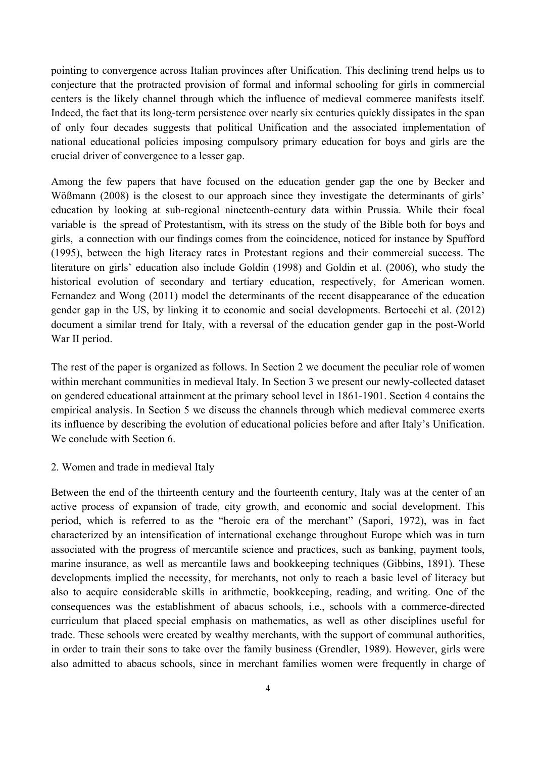pointing to convergence across Italian provinces after Unification. This declining trend helps us to conjecture that the protracted provision of formal and informal schooling for girls in commercial centers is the likely channel through which the influence of medieval commerce manifests itself. Indeed, the fact that its long-term persistence over nearly six centuries quickly dissipates in the span of only four decades suggests that political Unification and the associated implementation of national educational policies imposing compulsory primary education for boys and girls are the crucial driver of convergence to a lesser gap.

Among the few papers that have focused on the education gender gap the one by Becker and Wößmann (2008) is the closest to our approach since they investigate the determinants of girls' education by looking at sub-regional nineteenth-century data within Prussia. While their focal variable is the spread of Protestantism, with its stress on the study of the Bible both for boys and girls, a connection with our findings comes from the coincidence, noticed for instance by Spufford (1995), between the high literacy rates in Protestant regions and their commercial success. The literature on girls' education also include Goldin (1998) and Goldin et al. (2006), who study the historical evolution of secondary and tertiary education, respectively, for American women. Fernandez and Wong (2011) model the determinants of the recent disappearance of the education gender gap in the US, by linking it to economic and social developments. Bertocchi et al. (2012) document a similar trend for Italy, with a reversal of the education gender gap in the post-World War II period.

The rest of the paper is organized as follows. In Section 2 we document the peculiar role of women within merchant communities in medieval Italy. In Section 3 we present our newly-collected dataset on gendered educational attainment at the primary school level in 1861-1901. Section 4 contains the empirical analysis. In Section 5 we discuss the channels through which medieval commerce exerts its influence by describing the evolution of educational policies before and after Italy's Unification. We conclude with Section 6.

2. Women and trade in medieval Italy

Between the end of the thirteenth century and the fourteenth century, Italy was at the center of an active process of expansion of trade, city growth, and economic and social development. This period, which is referred to as the "heroic era of the merchant" (Sapori, 1972), was in fact characterized by an intensification of international exchange throughout Europe which was in turn associated with the progress of mercantile science and practices, such as banking, payment tools, marine insurance, as well as mercantile laws and bookkeeping techniques (Gibbins, 1891). These developments implied the necessity, for merchants, not only to reach a basic level of literacy but also to acquire considerable skills in arithmetic, bookkeeping, reading, and writing. One of the consequences was the establishment of abacus schools, i.e., schools with a commerce-directed curriculum that placed special emphasis on mathematics, as well as other disciplines useful for trade. These schools were created by wealthy merchants, with the support of communal authorities, in order to train their sons to take over the family business (Grendler, 1989). However, girls were also admitted to abacus schools, since in merchant families women were frequently in charge of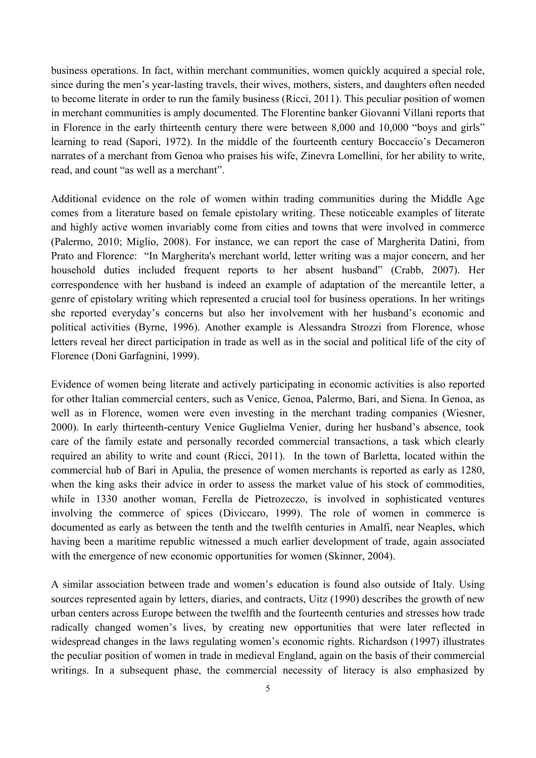business operations. In fact, within merchant communities, women quickly acquired a special role, since during the men's year-lasting travels, their wives, mothers, sisters, and daughters often needed to become literate in order to run the family business (Ricci, 2011). This peculiar position of women in merchant communities is amply documented. The Florentine banker Giovanni Villani reports that in Florence in the early thirteenth century there were between 8,000 and 10,000 "boys and girls" learning to read (Sapori, 1972). In the middle of the fourteenth century Boccaccio's Decameron narrates of a merchant from Genoa who praises his wife, Zinevra Lomellini, for her ability to write, read, and count "as well as a merchant".

Additional evidence on the role of women within trading communities during the Middle Age comes from a literature based on female epistolary writing. These noticeable examples of literate and highly active women invariably come from cities and towns that were involved in commerce (Palermo, 2010; Miglio, 2008). For instance, we can report the case of Margherita Datini, from Prato and Florence: "In Margherita's merchant world, letter writing was a major concern, and her household duties included frequent reports to her absent husband" (Crabb, 2007). Her correspondence with her husband is indeed an example of adaptation of the mercantile letter, a genre of epistolary writing which represented a crucial tool for business operations. In her writings she reported everyday's concerns but also her involvement with her husband's economic and political activities (Byrne, 1996). Another example is Alessandra Strozzi from Florence, whose letters reveal her direct participation in trade as well as in the social and political life of the city of Florence (Doni Garfagnini, 1999).

Evidence of women being literate and actively participating in economic activities is also reported for other Italian commercial centers, such as Venice, Genoa, Palermo, Bari, and Siena. In Genoa, as well as in Florence, women were even investing in the merchant trading companies (Wiesner, 2000). In early thirteenth-century Venice Guglielma Venier, during her husband's absence, took care of the family estate and personally recorded commercial transactions, a task which clearly required an ability to write and count (Ricci, 2011). In the town of Barletta, located within the commercial hub of Bari in Apulia, the presence of women merchants is reported as early as 1280, when the king asks their advice in order to assess the market value of his stock of commodities, while in 1330 another woman, Ferella de Pietrozeczo, is involved in sophisticated ventures involving the commerce of spices (Diviccaro, 1999). The role of women in commerce is documented as early as between the tenth and the twelfth centuries in Amalfi, near Neaples, which having been a maritime republic witnessed a much earlier development of trade, again associated with the emergence of new economic opportunities for women (Skinner, 2004).

A similar association between trade and women's education is found also outside of Italy. Using sources represented again by letters, diaries, and contracts, Uitz (1990) describes the growth of new urban centers across Europe between the twelfth and the fourteenth centuries and stresses how trade radically changed women's lives, by creating new opportunities that were later reflected in widespread changes in the laws regulating women's economic rights. Richardson (1997) illustrates the peculiar position of women in trade in medieval England, again on the basis of their commercial writings. In a subsequent phase, the commercial necessity of literacy is also emphasized by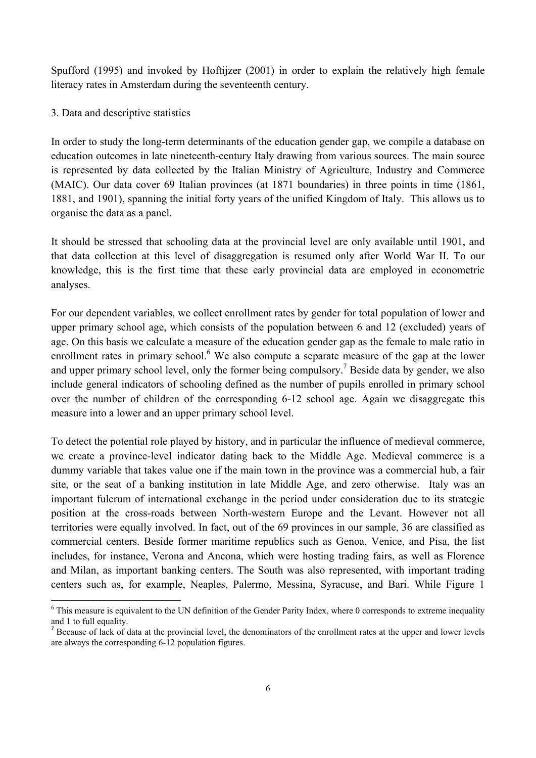Spufford (1995) and invoked by Hoftijzer (2001) in order to explain the relatively high female literacy rates in Amsterdam during the seventeenth century.

### 3. Data and descriptive statistics

In order to study the long-term determinants of the education gender gap, we compile a database on education outcomes in late nineteenth-century Italy drawing from various sources. The main source is represented by data collected by the Italian Ministry of Agriculture, Industry and Commerce (MAIC). Our data cover 69 Italian provinces (at 1871 boundaries) in three points in time (1861, 1881, and 1901), spanning the initial forty years of the unified Kingdom of Italy. This allows us to organise the data as a panel.

It should be stressed that schooling data at the provincial level are only available until 1901, and that data collection at this level of disaggregation is resumed only after World War II. To our knowledge, this is the first time that these early provincial data are employed in econometric analyses.

For our dependent variables, we collect enrollment rates by gender for total population of lower and upper primary school age, which consists of the population between 6 and 12 (excluded) years of age. On this basis we calculate a measure of the education gender gap as the female to male ratio in enrollment rates in primary school.<sup>6</sup> We also compute a separate measure of the gap at the lower and upper primary school level, only the former being compulsory.<sup>7</sup> Beside data by gender, we also include general indicators of schooling defined as the number of pupils enrolled in primary school over the number of children of the corresponding 6-12 school age. Again we disaggregate this measure into a lower and an upper primary school level.

To detect the potential role played by history, and in particular the influence of medieval commerce, we create a province-level indicator dating back to the Middle Age. Medieval commerce is a dummy variable that takes value one if the main town in the province was a commercial hub, a fair site, or the seat of a banking institution in late Middle Age, and zero otherwise. Italy was an important fulcrum of international exchange in the period under consideration due to its strategic position at the cross-roads between North-western Europe and the Levant. However not all territories were equally involved. In fact, out of the 69 provinces in our sample, 36 are classified as commercial centers. Beside former maritime republics such as Genoa, Venice, and Pisa, the list includes, for instance, Verona and Ancona, which were hosting trading fairs, as well as Florence and Milan, as important banking centers. The South was also represented, with important trading centers such as, for example, Neaples, Palermo, Messina, Syracuse, and Bari. While Figure 1

 6 This measure is equivalent to the UN definition of the Gender Parity Index, where 0 corresponds to extreme inequality and 1 to full equality.

<sup>&</sup>lt;sup>7</sup> Because of lack of data at the provincial level, the denominators of the enrollment rates at the upper and lower levels are always the corresponding 6-12 population figures.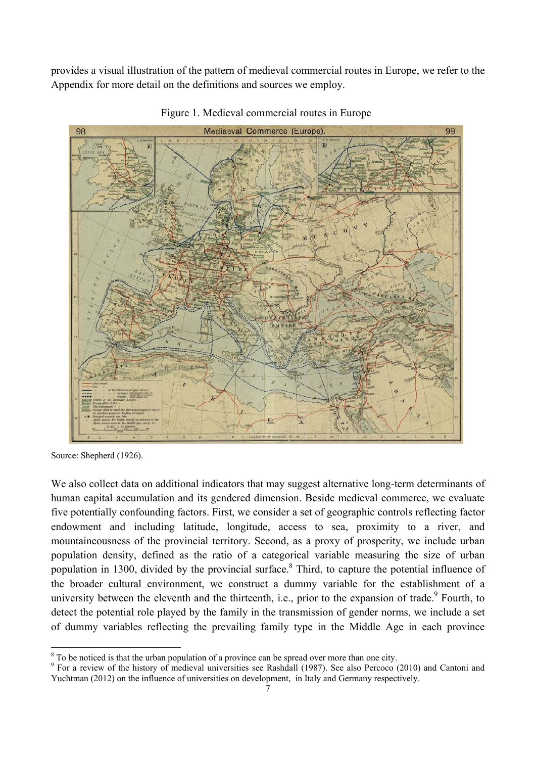provides a visual illustration of the pattern of medieval commercial routes in Europe, we refer to the Appendix for more detail on the definitions and sources we employ.



Figure 1. Medieval commercial routes in Europe

We also collect data on additional indicators that may suggest alternative long-term determinants of human capital accumulation and its gendered dimension. Beside medieval commerce, we evaluate five potentially confounding factors. First, we consider a set of geographic controls reflecting factor endowment and including latitude, longitude, access to sea, proximity to a river, and mountaineousness of the provincial territory. Second, as a proxy of prosperity, we include urban population density, defined as the ratio of a categorical variable measuring the size of urban population in 1300, divided by the provincial surface. $8$  Third, to capture the potential influence of the broader cultural environment, we construct a dummy variable for the establishment of a university between the eleventh and the thirteenth, i.e., prior to the expansion of trade.  $9$  Fourth, to detect the potential role played by the family in the transmission of gender norms, we include a set of dummy variables reflecting the prevailing family type in the Middle Age in each province

Source: Shepherd (1926).

<sup>&</sup>lt;sup>8</sup> To be noticed is that the urban population of a province can be spread over more than one city.<br><sup>9</sup> Eer a review of the history of medieval universities see Beshdell (1987). See also Perseco (

<sup>&</sup>lt;sup>9</sup> For a review of the history of medieval universities see Rashdall (1987). See also Percoco (2010) and Cantoni and Yuchtman (2012) on the influence of universities on development, in Italy and Germany respectively.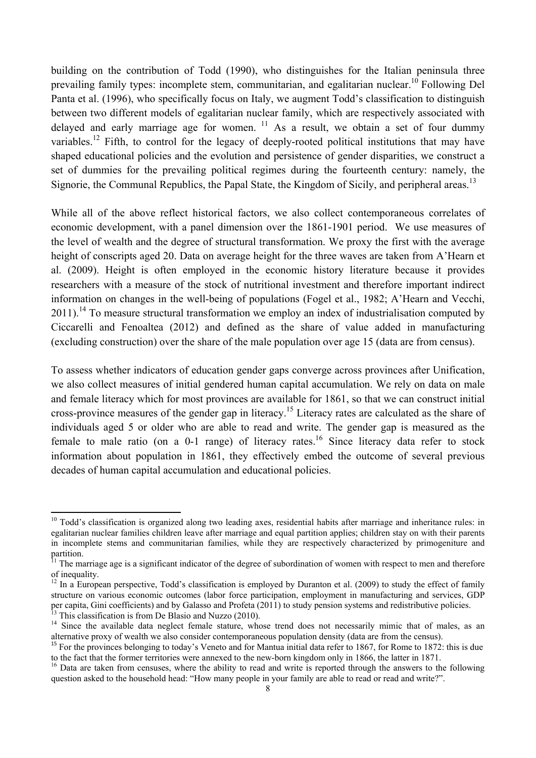building on the contribution of Todd (1990), who distinguishes for the Italian peninsula three prevailing family types: incomplete stem, communitarian, and egalitarian nuclear.<sup>10</sup> Following Del Panta et al. (1996), who specifically focus on Italy, we augment Todd's classification to distinguish between two different models of egalitarian nuclear family, which are respectively associated with delayed and early marriage age for women.  $\frac{11}{11}$  As a result, we obtain a set of four dummy variables.<sup>12</sup> Fifth, to control for the legacy of deeply-rooted political institutions that may have shaped educational policies and the evolution and persistence of gender disparities, we construct a set of dummies for the prevailing political regimes during the fourteenth century: namely, the Signorie, the Communal Republics, the Papal State, the Kingdom of Sicily, and peripheral areas.<sup>13</sup>

While all of the above reflect historical factors, we also collect contemporaneous correlates of economic development, with a panel dimension over the 1861-1901 period. We use measures of the level of wealth and the degree of structural transformation. We proxy the first with the average height of conscripts aged 20. Data on average height for the three waves are taken from A'Hearn et al. (2009). Height is often employed in the economic history literature because it provides researchers with a measure of the stock of nutritional investment and therefore important indirect information on changes in the well-being of populations (Fogel et al., 1982; A'Hearn and Vecchi,  $2011$ ).<sup>14</sup> To measure structural transformation we employ an index of industrialisation computed by Ciccarelli and Fenoaltea (2012) and defined as the share of value added in manufacturing (excluding construction) over the share of the male population over age 15 (data are from census).

To assess whether indicators of education gender gaps converge across provinces after Unification, we also collect measures of initial gendered human capital accumulation. We rely on data on male and female literacy which for most provinces are available for 1861, so that we can construct initial cross-province measures of the gender gap in literacy.15 Literacy rates are calculated as the share of individuals aged 5 or older who are able to read and write. The gender gap is measured as the female to male ratio (on a 0-1 range) of literacy rates.<sup>16</sup> Since literacy data refer to stock information about population in 1861, they effectively embed the outcome of several previous decades of human capital accumulation and educational policies.

 $10$  Todd's classification is organized along two leading axes, residential habits after marriage and inheritance rules: in egalitarian nuclear families children leave after marriage and equal partition applies; children stay on with their parents in incomplete stems and communitarian families, while they are respectively characterized by primogeniture and partition.

<sup>&</sup>lt;sup>11</sup> The marriage age is a significant indicator of the degree of subordination of women with respect to men and therefore of inequality.

 $12$  In a European perspective, Todd's classification is employed by Duranton et al. (2009) to study the effect of family structure on various economic outcomes (labor force participation, employment in manufacturing and services, GDP per capita, Gini coefficients) and by Galasso and Profeta (2011) to study pension systems and redistributive policies.<br><sup>13</sup> This classification is from De Blasio and Nuzzo (2010).

<sup>&</sup>lt;sup>14</sup> Since the available data neglect female stature, whose trend does not necessarily mimic that of males, as an alternative proxy of wealth we also consider contemporaneous population density (data are from the census).

<sup>&</sup>lt;sup>15</sup> For the provinces belonging to today's Veneto and for Mantua initial data refer to 1867, for Rome to 1872: this is due to the fact that the former territories were annexed to the new-born kingdom only in 1866, the latter in 1871.

<sup>&</sup>lt;sup>16</sup> Data are taken from censuses, where the ability to read and write is reported through the answers to the following question asked to the household head: "How many people in your family are able to read or read and write?".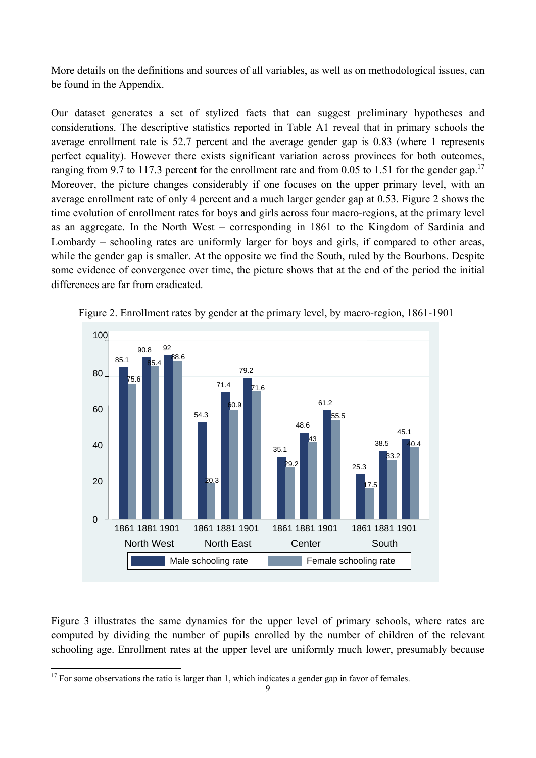More details on the definitions and sources of all variables, as well as on methodological issues, can be found in the Appendix.

Our dataset generates a set of stylized facts that can suggest preliminary hypotheses and considerations. The descriptive statistics reported in Table A1 reveal that in primary schools the average enrollment rate is 52.7 percent and the average gender gap is 0.83 (where 1 represents perfect equality). However there exists significant variation across provinces for both outcomes, ranging from 9.7 to 117.3 percent for the enrollment rate and from 0.05 to 1.51 for the gender gap.<sup>17</sup> Moreover, the picture changes considerably if one focuses on the upper primary level, with an average enrollment rate of only 4 percent and a much larger gender gap at 0.53. Figure 2 shows the time evolution of enrollment rates for boys and girls across four macro-regions, at the primary level as an aggregate. In the North West – corresponding in 1861 to the Kingdom of Sardinia and Lombardy – schooling rates are uniformly larger for boys and girls, if compared to other areas, while the gender gap is smaller. At the opposite we find the South, ruled by the Bourbons. Despite some evidence of convergence over time, the picture shows that at the end of the period the initial differences are far from eradicated.





Figure 3 illustrates the same dynamics for the upper level of primary schools, where rates are computed by dividing the number of pupils enrolled by the number of children of the relevant schooling age. Enrollment rates at the upper level are uniformly much lower, presumably because

  $17$  For some observations the ratio is larger than 1, which indicates a gender gap in favor of females.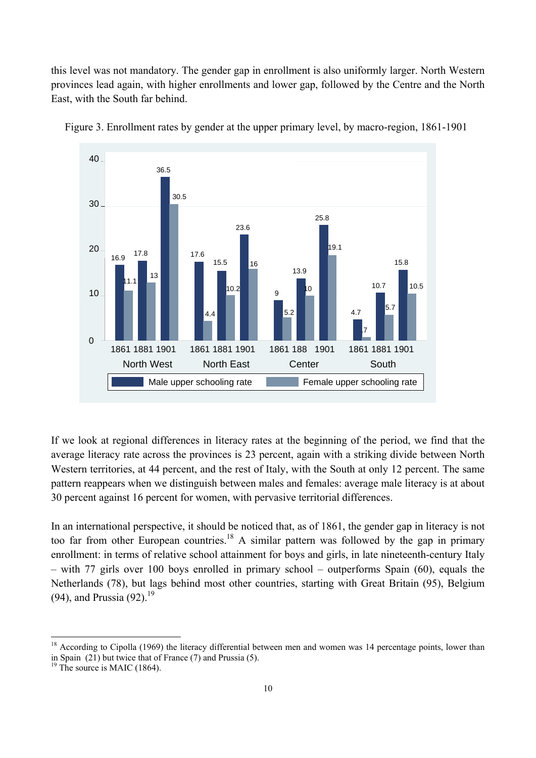this level was not mandatory. The gender gap in enrollment is also uniformly larger. North Western provinces lead again, with higher enrollments and lower gap, followed by the Centre and the North East, with the South far behind.



Figure 3. Enrollment rates by gender at the upper primary level, by macro-region, 1861-1901

If we look at regional differences in literacy rates at the beginning of the period, we find that the average literacy rate across the provinces is 23 percent, again with a striking divide between North Western territories, at 44 percent, and the rest of Italy, with the South at only 12 percent. The same pattern reappears when we distinguish between males and females: average male literacy is at about 30 percent against 16 percent for women, with pervasive territorial differences.

In an international perspective, it should be noticed that, as of 1861, the gender gap in literacy is not too far from other European countries.<sup>18</sup> A similar pattern was followed by the gap in primary enrollment: in terms of relative school attainment for boys and girls, in late nineteenth-century Italy – with 77 girls over 100 boys enrolled in primary school – outperforms Spain (60), equals the Netherlands (78), but lags behind most other countries, starting with Great Britain (95), Belgium (94), and Prussia  $(92)$ .<sup>19</sup>

 $18$  According to Cipolla (1969) the literacy differential between men and women was 14 percentage points, lower than in Spain (21) but twice that of France (7) and Prussia (5). 19 The source is MAIC (1864).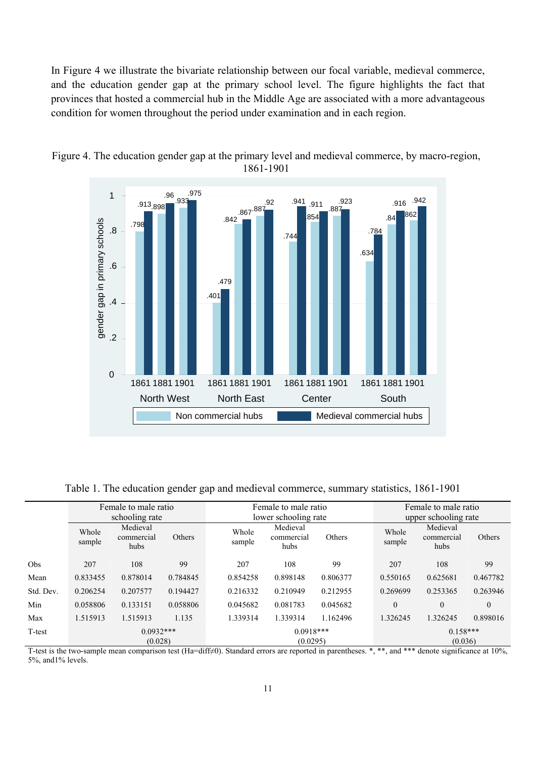In Figure 4 we illustrate the bivariate relationship between our focal variable, medieval commerce, and the education gender gap at the primary school level. The figure highlights the fact that provinces that hosted a commercial hub in the Middle Age are associated with a more advantageous condition for women throughout the period under examination and in each region.





Table 1. The education gender gap and medieval commerce, summary statistics, 1861-1901

|           | Female to male ratio |                                |          |                 | Female to male ratio                     |          | Female to male ratio |                                |              |  |
|-----------|----------------------|--------------------------------|----------|-----------------|------------------------------------------|----------|----------------------|--------------------------------|--------------|--|
|           |                      | schooling rate                 |          |                 | lower schooling rate                     |          | upper schooling rate |                                |              |  |
|           | Whole<br>sample      | Medieval<br>commercial<br>hubs | Others   | Whole<br>sample | Medieval<br>Others<br>commercial<br>hubs |          | Whole<br>sample      | Medieval<br>commercial<br>hubs | Others       |  |
| Obs       | 207                  | 108                            | 99       | 207             | 108                                      | 99       | 207                  | 108                            | 99           |  |
| Mean      | 0.833455             | 0.878014                       | 0.784845 | 0.854258        | 0.898148                                 | 0.806377 | 0.550165             | 0.625681                       | 0.467782     |  |
| Std. Dev. | 0.206254             | 0.207577                       | 0.194427 | 0.216332        | 0.210949                                 | 0.212955 | 0.269699             | 0.253365                       | 0.263946     |  |
| Min       | 0.058806             | 0.133151                       | 0.058806 | 0.045682        | 0.081783                                 | 0.045682 | $\theta$             | $\boldsymbol{0}$               | $\mathbf{0}$ |  |
| Max       | 1.515913             | 1.515913                       | 1.135    | 1.339314        | 1.339314                                 | 1.162496 | 1.326245             | 1.326245                       | 0.898016     |  |
| T-test    |                      | $0.0932***$                    |          | $0.0918***$     |                                          |          |                      | $0.158***$                     |              |  |
|           |                      | (0.028)                        |          |                 | (0.0295)                                 |          |                      | (0.036)                        |              |  |

T-test is the two-sample mean comparison test (Ha=diff≠0). Standard errors are reported in parentheses. \*, \*\*, and \*\*\* denote significance at 10%, 5%, and1% levels.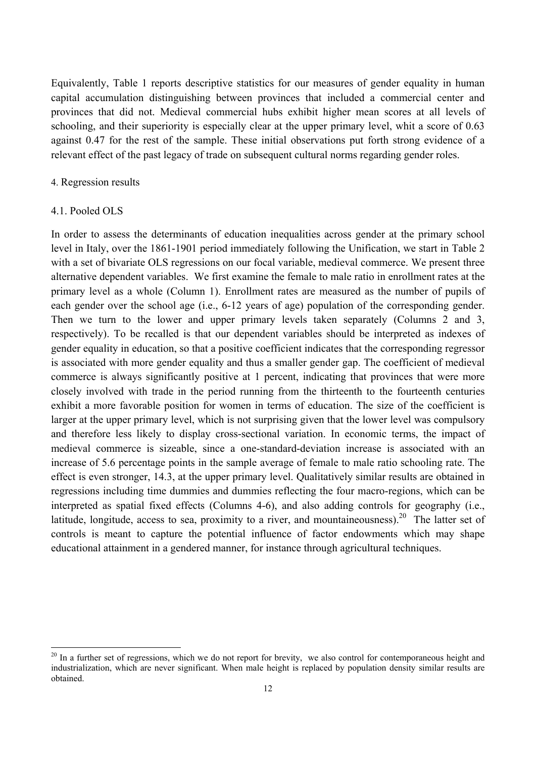Equivalently, Table 1 reports descriptive statistics for our measures of gender equality in human capital accumulation distinguishing between provinces that included a commercial center and provinces that did not. Medieval commercial hubs exhibit higher mean scores at all levels of schooling, and their superiority is especially clear at the upper primary level, whit a score of 0.63 against 0.47 for the rest of the sample. These initial observations put forth strong evidence of a relevant effect of the past legacy of trade on subsequent cultural norms regarding gender roles.

#### 4. Regression results

#### 4.1. Pooled OLS

In order to assess the determinants of education inequalities across gender at the primary school level in Italy, over the 1861-1901 period immediately following the Unification, we start in Table 2 with a set of bivariate OLS regressions on our focal variable, medieval commerce. We present three alternative dependent variables. We first examine the female to male ratio in enrollment rates at the primary level as a whole (Column 1). Enrollment rates are measured as the number of pupils of each gender over the school age (i.e., 6-12 years of age) population of the corresponding gender. Then we turn to the lower and upper primary levels taken separately (Columns 2 and 3, respectively). To be recalled is that our dependent variables should be interpreted as indexes of gender equality in education, so that a positive coefficient indicates that the corresponding regressor is associated with more gender equality and thus a smaller gender gap. The coefficient of medieval commerce is always significantly positive at 1 percent, indicating that provinces that were more closely involved with trade in the period running from the thirteenth to the fourteenth centuries exhibit a more favorable position for women in terms of education. The size of the coefficient is larger at the upper primary level, which is not surprising given that the lower level was compulsory and therefore less likely to display cross-sectional variation. In economic terms, the impact of medieval commerce is sizeable, since a one-standard-deviation increase is associated with an increase of 5.6 percentage points in the sample average of female to male ratio schooling rate. The effect is even stronger, 14.3, at the upper primary level. Qualitatively similar results are obtained in regressions including time dummies and dummies reflecting the four macro-regions, which can be interpreted as spatial fixed effects (Columns 4-6), and also adding controls for geography (i.e., latitude, longitude, access to sea, proximity to a river, and mountaineousness).<sup>20</sup> The latter set of controls is meant to capture the potential influence of factor endowments which may shape educational attainment in a gendered manner, for instance through agricultural techniques.

 $20$  In a further set of regressions, which we do not report for brevity, we also control for contemporaneous height and industrialization, which are never significant. When male height is replaced by population density similar results are obtained.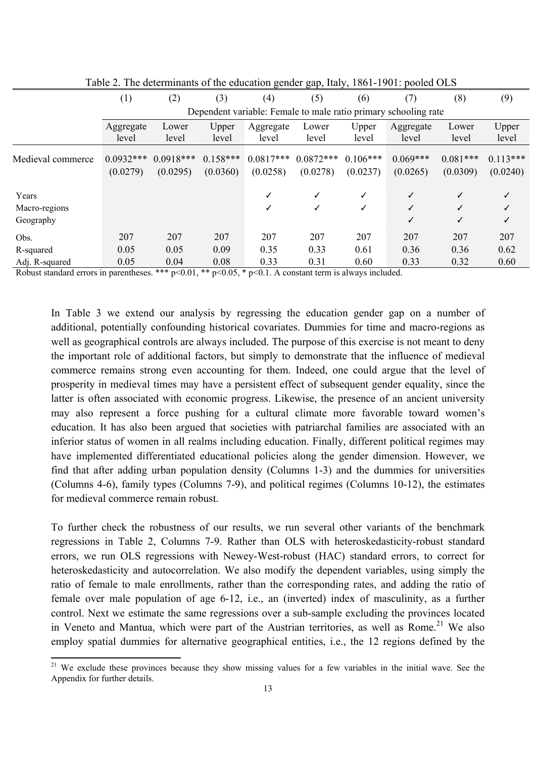| 0 ° P<br>$\ldots$<br>$\overline{C}$ |                                                                 |                         |                        |                         |                         |                        |                        |                        |                        |  |
|-------------------------------------|-----------------------------------------------------------------|-------------------------|------------------------|-------------------------|-------------------------|------------------------|------------------------|------------------------|------------------------|--|
|                                     | (1)                                                             | (2)                     | (3)                    | (4)                     | (5)                     | (6)                    | (7)                    | (8)                    | (9)                    |  |
|                                     | Dependent variable: Female to male ratio primary schooling rate |                         |                        |                         |                         |                        |                        |                        |                        |  |
|                                     | Aggregate<br>level                                              | Lower<br>level          | Upper<br>level         | Aggregate<br>level      | Lower<br>level          | Upper<br>level         | Aggregate<br>level     | Lower<br>level         | Upper<br>level         |  |
| Medieval commerce                   | $0.0932***$<br>(0.0279)                                         | $0.0918***$<br>(0.0295) | $0.158***$<br>(0.0360) | $0.0817***$<br>(0.0258) | $0.0872***$<br>(0.0278) | $0.106***$<br>(0.0237) | $0.069***$<br>(0.0265) | $0.081***$<br>(0.0309) | $0.113***$<br>(0.0240) |  |
| Years<br>Macro-regions              |                                                                 |                         |                        |                         | ✓<br>$\checkmark$       |                        | ✓<br>✓                 | ✓<br>✓                 |                        |  |
| Geography                           |                                                                 |                         |                        |                         |                         |                        | ✓                      | ✓                      | ✓                      |  |
| Obs.                                | 207                                                             | 207                     | 207                    | 207                     | 207                     | 207                    | 207                    | 207                    | 207                    |  |
| R-squared                           | 0.05                                                            | 0.05                    | 0.09                   | 0.35                    | 0.33                    | 0.61                   | 0.36                   | 0.36                   | 0.62                   |  |
| Adj. R-squared                      | 0.05                                                            | 0.04                    | 0.08                   | 0.33                    | 0.31                    | 0.60                   | 0.33                   | 0.32                   | 0.60                   |  |

Table 2. The determinants of the education gender gap, Italy, 1861-1901: pooled OLS

Robust standard errors in parentheses. \*\*\*  $p<0.01$ , \*\*  $p<0.05$ , \*  $p<0.1$ . A constant term is always included.

In Table 3 we extend our analysis by regressing the education gender gap on a number of additional, potentially confounding historical covariates. Dummies for time and macro-regions as well as geographical controls are always included. The purpose of this exercise is not meant to deny the important role of additional factors, but simply to demonstrate that the influence of medieval commerce remains strong even accounting for them. Indeed, one could argue that the level of prosperity in medieval times may have a persistent effect of subsequent gender equality, since the latter is often associated with economic progress. Likewise, the presence of an ancient university may also represent a force pushing for a cultural climate more favorable toward women's education. It has also been argued that societies with patriarchal families are associated with an inferior status of women in all realms including education. Finally, different political regimes may have implemented differentiated educational policies along the gender dimension. However, we find that after adding urban population density (Columns 1-3) and the dummies for universities (Columns 4-6), family types (Columns 7-9), and political regimes (Columns 10-12), the estimates for medieval commerce remain robust.

To further check the robustness of our results, we run several other variants of the benchmark regressions in Table 2, Columns 7-9. Rather than OLS with heteroskedasticity-robust standard errors, we run OLS regressions with Newey-West-robust (HAC) standard errors, to correct for heteroskedasticity and autocorrelation. We also modify the dependent variables, using simply the ratio of female to male enrollments, rather than the corresponding rates, and adding the ratio of female over male population of age 6-12, i.e., an (inverted) index of masculinity, as a further control. Next we estimate the same regressions over a sub-sample excluding the provinces located in Veneto and Mantua, which were part of the Austrian territories, as well as Rome.<sup>21</sup> We also employ spatial dummies for alternative geographical entities, i.e., the 12 regions defined by the

<sup>&</sup>lt;sup>21</sup> We exclude these provinces because they show missing values for a few variables in the initial wave. See the Appendix for further details.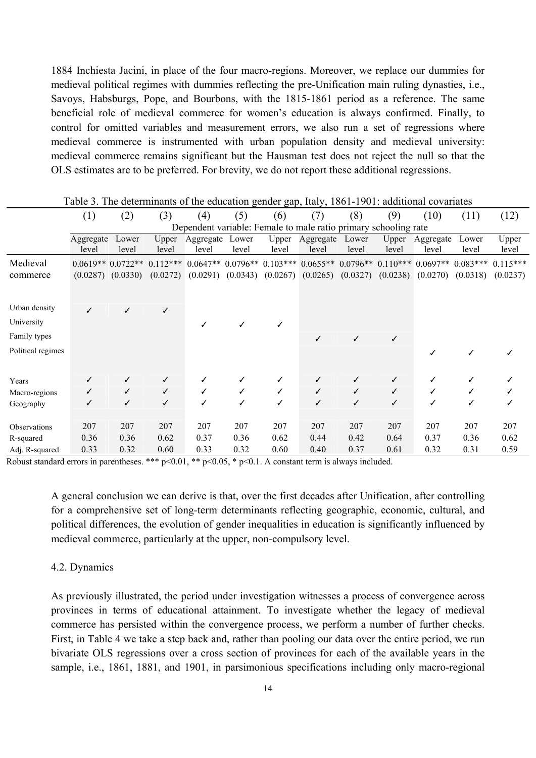1884 Inchiesta Jacini, in place of the four macro-regions. Moreover, we replace our dummies for medieval political regimes with dummies reflecting the pre-Unification main ruling dynasties, i.e., Savoys, Habsburgs, Pope, and Bourbons, with the 1815-1861 period as a reference. The same beneficial role of medieval commerce for women's education is always confirmed. Finally, to control for omitted variables and measurement errors, we also run a set of regressions where medieval commerce is instrumented with urban population density and medieval university: medieval commerce remains significant but the Hausman test does not reject the null so that the OLS estimates are to be preferred. For brevity, we do not report these additional regressions.

|                   | (1)       | (2)                | (3)          | $\left(4\right)$                                                | (5)   | (6)                   | (7)       | (8)      | (9)      | (10)                                                                                    | (11)     | (12)       |
|-------------------|-----------|--------------------|--------------|-----------------------------------------------------------------|-------|-----------------------|-----------|----------|----------|-----------------------------------------------------------------------------------------|----------|------------|
|                   |           |                    |              | Dependent variable: Female to male ratio primary schooling rate |       |                       |           |          |          |                                                                                         |          |            |
|                   | Aggregate | Lower              | Upper        | Aggregate                                                       | Lower | Upper                 | Aggregate | Lower    | Upper    | Aggregate                                                                               | Lower    | Upper      |
|                   | level     | level              | level        | level                                                           | level | level                 | level     | level    | level    | level                                                                                   | level    | level      |
| Medieval          |           | $0.0619**0.0722**$ | $0.112***$   |                                                                 |       |                       |           |          |          | $0.0647**$ $0.0796**$ $0.103***$ $0.0655**$ $0.0796**$ $0.110***$ $0.0697**$ $0.083***$ |          | $0.115***$ |
| commerce          | (0.0287)  | (0.0330)           | (0.0272)     | (0.0291)                                                        |       | $(0.0343)$ $(0.0267)$ | (0.0265)  | (0.0327) | (0.0238) | (0.0270)                                                                                | (0.0318) | (0.0237)   |
|                   |           |                    |              |                                                                 |       |                       |           |          |          |                                                                                         |          |            |
|                   |           |                    |              |                                                                 |       |                       |           |          |          |                                                                                         |          |            |
| Urban density     |           |                    | ✓            |                                                                 |       |                       |           |          |          |                                                                                         |          |            |
| University        |           |                    |              | ✓                                                               |       |                       |           |          |          |                                                                                         |          |            |
| Family types      |           |                    |              |                                                                 |       |                       |           |          | ✓        |                                                                                         |          |            |
| Political regimes |           |                    |              |                                                                 |       |                       |           |          |          |                                                                                         | ✓        |            |
|                   |           |                    |              |                                                                 |       |                       |           |          |          |                                                                                         |          |            |
| Years             |           | ✓                  | ✓            |                                                                 |       |                       |           | ✓        | ✓        |                                                                                         |          |            |
| Macro-regions     | ✓         | ✓                  | $\checkmark$ | ✓                                                               |       | ✓                     | ✓         | ✓        | ✓        |                                                                                         | ✓        |            |
| Geography         | ✓         | ✓                  | ✓            | ✓                                                               |       | ✓                     | ✓         | ✓        | ✓        |                                                                                         | ✓        |            |
|                   |           |                    |              |                                                                 |       |                       |           |          |          |                                                                                         |          |            |
| Observations      | 207       | 207                | 207          | 207                                                             | 207   | 207                   | 207       | 207      | 207      | 207                                                                                     | 207      | 207        |
| R-squared         | 0.36      | 0.36               | 0.62         | 0.37                                                            | 0.36  | 0.62                  | 0.44      | 0.42     | 0.64     | 0.37                                                                                    | 0.36     | 0.62       |
| Adj. R-squared    | 0.33      | 0.32               | 0.60         | 0.33                                                            | 0.32  | 0.60                  | 0.40      | 0.37     | 0.61     | 0.32                                                                                    | 0.31     | 0.59       |

Table 3. The determinants of the education gender gap, Italy, 1861-1901: additional covariates

Robust standard errors in parentheses. \*\*\*  $p<0.01$ , \*\*  $p<0.05$ , \*  $p<0.1$ . A constant term is always included.

A general conclusion we can derive is that, over the first decades after Unification, after controlling for a comprehensive set of long-term determinants reflecting geographic, economic, cultural, and political differences, the evolution of gender inequalities in education is significantly influenced by medieval commerce, particularly at the upper, non-compulsory level.

#### 4.2. Dynamics

As previously illustrated, the period under investigation witnesses a process of convergence across provinces in terms of educational attainment. To investigate whether the legacy of medieval commerce has persisted within the convergence process, we perform a number of further checks. First, in Table 4 we take a step back and, rather than pooling our data over the entire period, we run bivariate OLS regressions over a cross section of provinces for each of the available years in the sample, i.e., 1861, 1881, and 1901, in parsimonious specifications including only macro-regional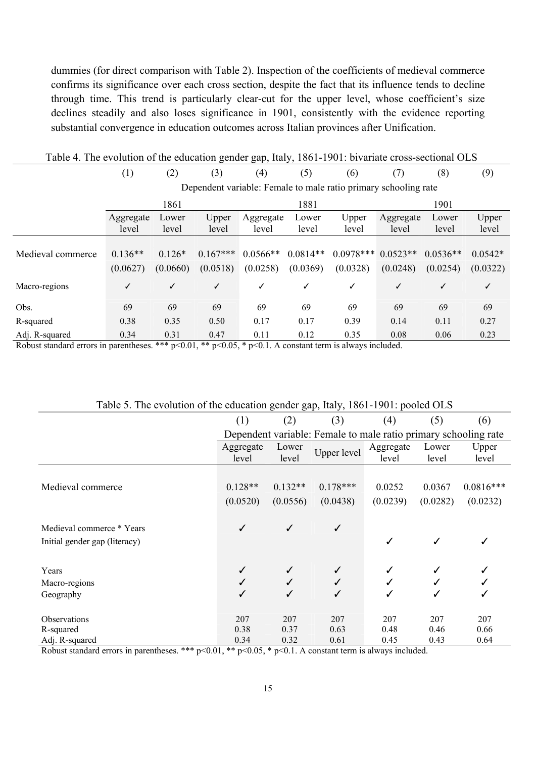dummies (for direct comparison with Table 2). Inspection of the coefficients of medieval commerce confirms its significance over each cross section, despite the fact that its influence tends to decline through time. This trend is particularly clear-cut for the upper level, whose coefficient's size declines steadily and also loses significance in 1901, consistently with the evidence reporting substantial convergence in education outcomes across Italian provinces after Unification.

Table 4. The evolution of the education gender gap, Italy, 1861-1901: bivariate cross-sectional OLS (1) (2) (3) (4) (5) (6) (7) (8) (9)

|                   | Dependent variable: Female to male ratio primary schooling rate |                      |                        |                        |                        |                         |                        |                        |                       |  |  |
|-------------------|-----------------------------------------------------------------|----------------------|------------------------|------------------------|------------------------|-------------------------|------------------------|------------------------|-----------------------|--|--|
|                   |                                                                 | 1861                 |                        |                        | 1881                   |                         | 1901                   |                        |                       |  |  |
|                   | Aggregate<br>level                                              | Lower<br>level       | Upper<br>level         | Aggregate<br>level     | Lower<br>level         | Upper<br>level          | Aggregate<br>level     | Lower<br>level         | Upper<br>level        |  |  |
| Medieval commerce | $0.136**$<br>(0.0627)                                           | $0.126*$<br>(0.0660) | $0.167***$<br>(0.0518) | $0.0566**$<br>(0.0258) | $0.0814**$<br>(0.0369) | $0.0978***$<br>(0.0328) | $0.0523**$<br>(0.0248) | $0.0536**$<br>(0.0254) | $0.0542*$<br>(0.0322) |  |  |
| Macro-regions     | $\checkmark$                                                    | $\checkmark$         | ✓                      | ✓                      | ✓                      | ✓                       | $\checkmark$           | $\checkmark$           | ✓                     |  |  |
| Obs.              | 69                                                              | 69                   | 69                     | 69                     | 69                     | 69                      | 69                     | 69                     | 69                    |  |  |
| R-squared         | 0.38                                                            | 0.35                 | 0.50                   | 0.17                   | 0.17                   | 0.39                    | 0.14                   | 0.11                   | 0.27                  |  |  |
| Adj. R-squared    | 0.34                                                            | 0.31                 | 0.47                   | 0.11                   | 0.12                   | 0.35                    | 0.08                   | 0.06                   | 0.23                  |  |  |

Robust standard errors in parentheses. \*\*\*  $p<0.01$ , \*\*  $p<0.05$ , \*  $p<0.1$ . A constant term is always included.

|                               | (1)                | (2)            | (3)          | (4)                | (5)                                                             | (6)            |  |
|-------------------------------|--------------------|----------------|--------------|--------------------|-----------------------------------------------------------------|----------------|--|
|                               |                    |                |              |                    | Dependent variable: Female to male ratio primary schooling rate |                |  |
|                               | Aggregate<br>level | Lower<br>level | Upper level  | Aggregate<br>level | Lower<br>level                                                  | Upper<br>level |  |
|                               |                    |                |              |                    |                                                                 |                |  |
| Medieval commerce             | $0.128**$          | $0.132**$      | $0.178***$   | 0.0252             | 0.0367                                                          | $0.0816***$    |  |
|                               | (0.0520)           | (0.0556)       | (0.0438)     | (0.0239)           | (0.0282)                                                        | (0.0232)       |  |
| Medieval commerce * Years     | ✓                  | ✓              | $\checkmark$ |                    |                                                                 |                |  |
| Initial gender gap (literacy) |                    |                |              | ✓                  |                                                                 |                |  |
| Years                         |                    |                |              |                    |                                                                 |                |  |
| Macro-regions                 |                    |                |              |                    |                                                                 |                |  |
| Geography                     | ✓                  | ✓              | $\checkmark$ |                    |                                                                 |                |  |
| <b>Observations</b>           | 207                | 207            | 207          | 207                | 207                                                             | 207            |  |
| R-squared                     | 0.38               | 0.37           | 0.63         | 0.48               | 0.46                                                            | 0.66           |  |
| Adj. R-squared                | 0.34               | 0.32           | 0.61         | 0.45               | 0.43                                                            | 0.64           |  |

Table 5. The evolution of the education gender gap, Italy, 1861-1901: pooled OLS

Robust standard errors in parentheses. \*\*\*  $p<0.01$ , \*\*  $p<0.05$ , \*  $p<0.1$ . A constant term is always included.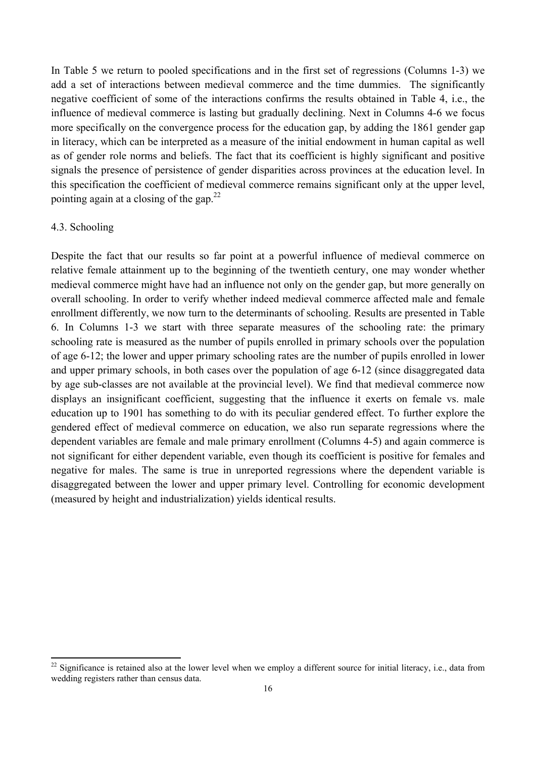In Table 5 we return to pooled specifications and in the first set of regressions (Columns 1-3) we add a set of interactions between medieval commerce and the time dummies. The significantly negative coefficient of some of the interactions confirms the results obtained in Table 4, i.e., the influence of medieval commerce is lasting but gradually declining. Next in Columns 4-6 we focus more specifically on the convergence process for the education gap, by adding the 1861 gender gap in literacy, which can be interpreted as a measure of the initial endowment in human capital as well as of gender role norms and beliefs. The fact that its coefficient is highly significant and positive signals the presence of persistence of gender disparities across provinces at the education level. In this specification the coefficient of medieval commerce remains significant only at the upper level, pointing again at a closing of the gap.<sup>22</sup>

#### 4.3. Schooling

Despite the fact that our results so far point at a powerful influence of medieval commerce on relative female attainment up to the beginning of the twentieth century, one may wonder whether medieval commerce might have had an influence not only on the gender gap, but more generally on overall schooling. In order to verify whether indeed medieval commerce affected male and female enrollment differently, we now turn to the determinants of schooling. Results are presented in Table 6. In Columns 1-3 we start with three separate measures of the schooling rate: the primary schooling rate is measured as the number of pupils enrolled in primary schools over the population of age 6-12; the lower and upper primary schooling rates are the number of pupils enrolled in lower and upper primary schools, in both cases over the population of age 6-12 (since disaggregated data by age sub-classes are not available at the provincial level). We find that medieval commerce now displays an insignificant coefficient, suggesting that the influence it exerts on female vs. male education up to 1901 has something to do with its peculiar gendered effect. To further explore the gendered effect of medieval commerce on education, we also run separate regressions where the dependent variables are female and male primary enrollment (Columns 4-5) and again commerce is not significant for either dependent variable, even though its coefficient is positive for females and negative for males. The same is true in unreported regressions where the dependent variable is disaggregated between the lower and upper primary level. Controlling for economic development (measured by height and industrialization) yields identical results.

 $22$  Significance is retained also at the lower level when we employ a different source for initial literacy, i.e., data from wedding registers rather than census data.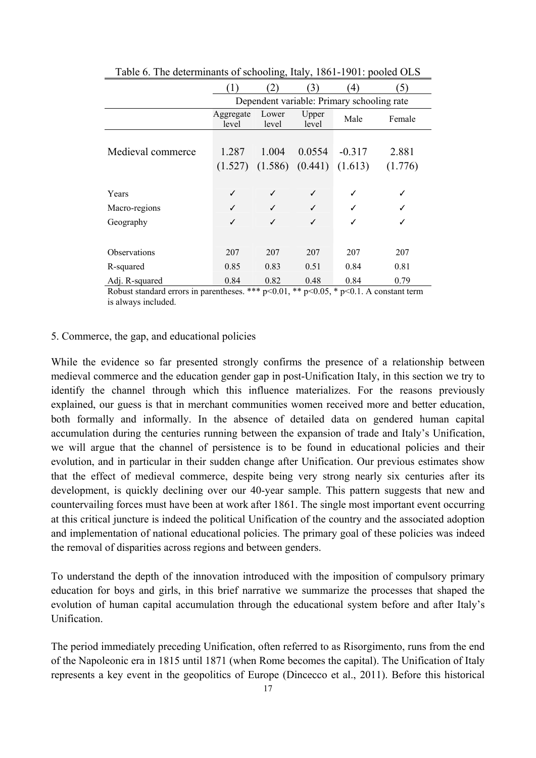|                     | (1)                | $\mathbf{2}^{\circ}$ | 3)             | (4)                                        | (5)     |
|---------------------|--------------------|----------------------|----------------|--------------------------------------------|---------|
|                     |                    |                      |                | Dependent variable: Primary schooling rate |         |
|                     | Aggregate<br>level | Lower<br>level       | Upper<br>level | Male                                       | Female  |
|                     |                    |                      |                |                                            |         |
| Medieval commerce   | 1.287              | 1.004                | 0.0554         | $-0.317$                                   | 2.881   |
|                     | (1.527)            | (1.586)              | (0.441)        | (1.613)                                    | (1.776) |
|                     |                    |                      |                |                                            |         |
| Years               | ✓                  | ✓                    | ✓              | ✓                                          |         |
| Macro-regions       | ✓                  | ✓                    | ✓              |                                            |         |
| Geography           | ✓                  | ✓                    | ✓              |                                            |         |
|                     |                    |                      |                |                                            |         |
| <b>Observations</b> | 207                | 207                  | 207            | 207                                        | 207     |
| R-squared           | 0.85               | 0.83                 | 0.51           | 0.84                                       | 0.81    |
| Adj. R-squared      | 0.84               | 0.82                 | 0.48           | 0.84                                       | 0.79    |

Table 6. The determinants of schooling, Italy, 1861-1901: pooled OLS

Robust standard errors in parentheses. \*\*\*  $p<0.01$ , \*\*  $p<0.05$ , \*  $p<0.1$ . A constant term is always included.

#### 5. Commerce, the gap, and educational policies

While the evidence so far presented strongly confirms the presence of a relationship between medieval commerce and the education gender gap in post-Unification Italy, in this section we try to identify the channel through which this influence materializes. For the reasons previously explained, our guess is that in merchant communities women received more and better education, both formally and informally. In the absence of detailed data on gendered human capital accumulation during the centuries running between the expansion of trade and Italy's Unification, we will argue that the channel of persistence is to be found in educational policies and their evolution, and in particular in their sudden change after Unification. Our previous estimates show that the effect of medieval commerce, despite being very strong nearly six centuries after its development, is quickly declining over our 40-year sample. This pattern suggests that new and countervailing forces must have been at work after 1861. The single most important event occurring at this critical juncture is indeed the political Unification of the country and the associated adoption and implementation of national educational policies. The primary goal of these policies was indeed the removal of disparities across regions and between genders.

To understand the depth of the innovation introduced with the imposition of compulsory primary education for boys and girls, in this brief narrative we summarize the processes that shaped the evolution of human capital accumulation through the educational system before and after Italy's Unification.

The period immediately preceding Unification, often referred to as Risorgimento, runs from the end of the Napoleonic era in 1815 until 1871 (when Rome becomes the capital). The Unification of Italy represents a key event in the geopolitics of Europe (Dincecco et al., 2011). Before this historical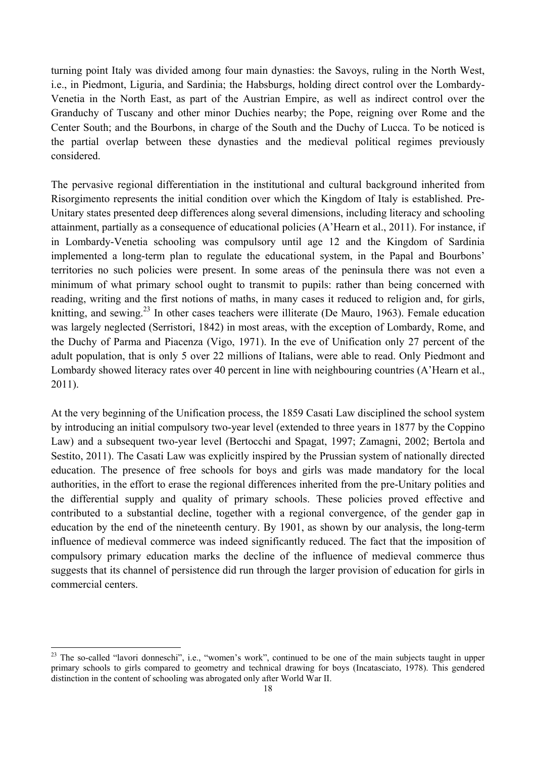turning point Italy was divided among four main dynasties: the Savoys, ruling in the North West, i.e., in Piedmont, Liguria, and Sardinia; the Habsburgs, holding direct control over the Lombardy-Venetia in the North East, as part of the Austrian Empire, as well as indirect control over the Granduchy of Tuscany and other minor Duchies nearby; the Pope, reigning over Rome and the Center South; and the Bourbons, in charge of the South and the Duchy of Lucca. To be noticed is the partial overlap between these dynasties and the medieval political regimes previously considered.

The pervasive regional differentiation in the institutional and cultural background inherited from Risorgimento represents the initial condition over which the Kingdom of Italy is established. Pre-Unitary states presented deep differences along several dimensions, including literacy and schooling attainment, partially as a consequence of educational policies (A'Hearn et al., 2011). For instance, if in Lombardy-Venetia schooling was compulsory until age 12 and the Kingdom of Sardinia implemented a long-term plan to regulate the educational system, in the Papal and Bourbons' territories no such policies were present. In some areas of the peninsula there was not even a minimum of what primary school ought to transmit to pupils: rather than being concerned with reading, writing and the first notions of maths, in many cases it reduced to religion and, for girls, knitting, and sewing.<sup>23</sup> In other cases teachers were illiterate (De Mauro, 1963). Female education was largely neglected (Serristori, 1842) in most areas, with the exception of Lombardy, Rome, and the Duchy of Parma and Piacenza (Vigo, 1971). In the eve of Unification only 27 percent of the adult population, that is only 5 over 22 millions of Italians, were able to read. Only Piedmont and Lombardy showed literacy rates over 40 percent in line with neighbouring countries (A'Hearn et al., 2011).

At the very beginning of the Unification process, the 1859 Casati Law disciplined the school system by introducing an initial compulsory two-year level (extended to three years in 1877 by the Coppino Law) and a subsequent two-year level (Bertocchi and Spagat, 1997; Zamagni, 2002; Bertola and Sestito, 2011). The Casati Law was explicitly inspired by the Prussian system of nationally directed education. The presence of free schools for boys and girls was made mandatory for the local authorities, in the effort to erase the regional differences inherited from the pre-Unitary polities and the differential supply and quality of primary schools. These policies proved effective and contributed to a substantial decline, together with a regional convergence, of the gender gap in education by the end of the nineteenth century. By 1901, as shown by our analysis, the long-term influence of medieval commerce was indeed significantly reduced. The fact that the imposition of compulsory primary education marks the decline of the influence of medieval commerce thus suggests that its channel of persistence did run through the larger provision of education for girls in commercial centers.

 $^{23}$  The so-called "lavori donneschi", i.e., "women's work", continued to be one of the main subjects taught in upper primary schools to girls compared to geometry and technical drawing for boys (Incatasciato, 1978). This gendered distinction in the content of schooling was abrogated only after World War II.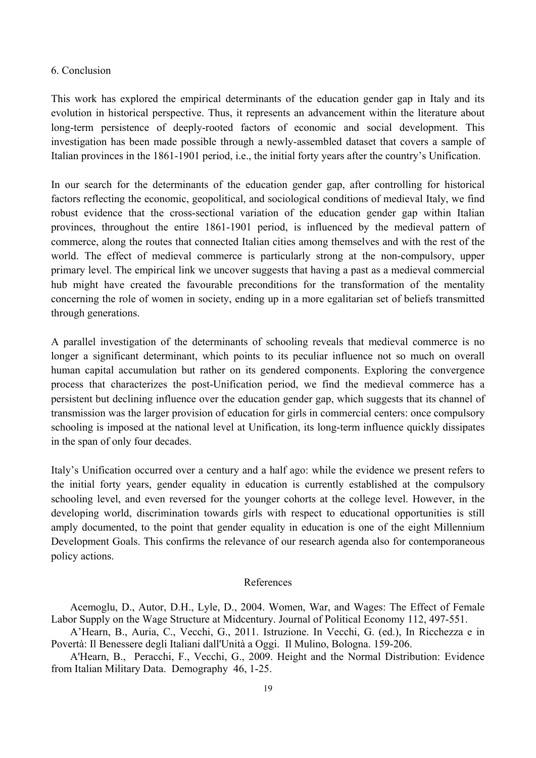#### 6. Conclusion

This work has explored the empirical determinants of the education gender gap in Italy and its evolution in historical perspective. Thus, it represents an advancement within the literature about long-term persistence of deeply-rooted factors of economic and social development. This investigation has been made possible through a newly-assembled dataset that covers a sample of Italian provinces in the 1861-1901 period, i.e., the initial forty years after the country's Unification.

In our search for the determinants of the education gender gap, after controlling for historical factors reflecting the economic, geopolitical, and sociological conditions of medieval Italy, we find robust evidence that the cross-sectional variation of the education gender gap within Italian provinces, throughout the entire 1861-1901 period, is influenced by the medieval pattern of commerce, along the routes that connected Italian cities among themselves and with the rest of the world. The effect of medieval commerce is particularly strong at the non-compulsory, upper primary level. The empirical link we uncover suggests that having a past as a medieval commercial hub might have created the favourable preconditions for the transformation of the mentality concerning the role of women in society, ending up in a more egalitarian set of beliefs transmitted through generations.

A parallel investigation of the determinants of schooling reveals that medieval commerce is no longer a significant determinant, which points to its peculiar influence not so much on overall human capital accumulation but rather on its gendered components. Exploring the convergence process that characterizes the post-Unification period, we find the medieval commerce has a persistent but declining influence over the education gender gap, which suggests that its channel of transmission was the larger provision of education for girls in commercial centers: once compulsory schooling is imposed at the national level at Unification, its long-term influence quickly dissipates in the span of only four decades.

Italy's Unification occurred over a century and a half ago: while the evidence we present refers to the initial forty years, gender equality in education is currently established at the compulsory schooling level, and even reversed for the younger cohorts at the college level. However, in the developing world, discrimination towards girls with respect to educational opportunities is still amply documented, to the point that gender equality in education is one of the eight Millennium Development Goals. This confirms the relevance of our research agenda also for contemporaneous policy actions.

#### References

Acemoglu, D., Autor, D.H., Lyle, D., 2004. Women, War, and Wages: The Effect of Female Labor Supply on the Wage Structure at Midcentury. Journal of Political Economy 112, 497-551.

A'Hearn, B., Auria, C., Vecchi, G., 2011. Istruzione. In Vecchi, G. (ed.), In Ricchezza e in Povertà: Il Benessere degli Italiani dall'Unità a Oggi. Il Mulino, Bologna. 159-206.

A'Hearn, B., Peracchi, F., Vecchi, G., 2009. Height and the Normal Distribution: Evidence from Italian Military Data. Demography 46, 1-25.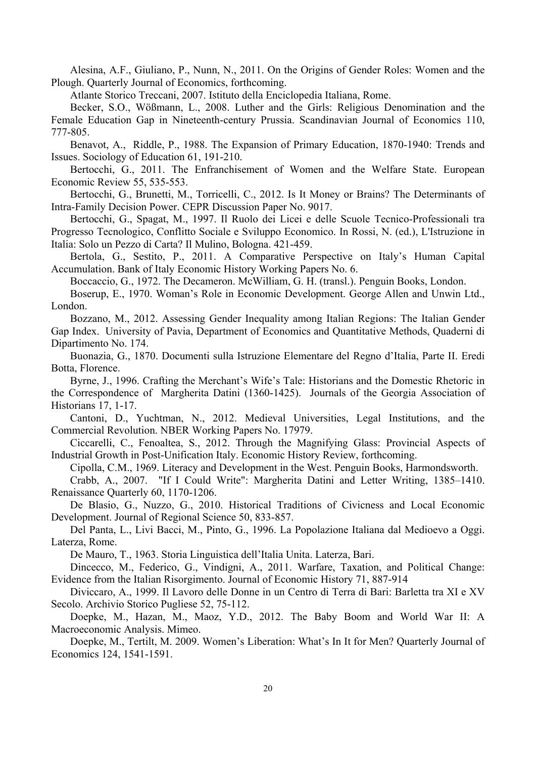Alesina, A.F., Giuliano, P., Nunn, N., 2011. On the Origins of Gender Roles: Women and the Plough. Quarterly Journal of Economics, forthcoming.

Atlante Storico Treccani, 2007. Istituto della Enciclopedia Italiana, Rome.

Becker, S.O., Wößmann, L., 2008. Luther and the Girls: Religious Denomination and the Female Education Gap in Nineteenth-century Prussia. Scandinavian Journal of Economics 110, 777-805.

Benavot, A., Riddle, P., 1988. The Expansion of Primary Education, 1870-1940: Trends and Issues. Sociology of Education 61, 191-210.

Bertocchi, G., 2011. The Enfranchisement of Women and the Welfare State. European Economic Review 55, 535-553.

Bertocchi, G., Brunetti, M., Torricelli, C., 2012. Is It Money or Brains? The Determinants of Intra-Family Decision Power. CEPR Discussion Paper No. 9017.

Bertocchi, G., Spagat, M., 1997. Il Ruolo dei Licei e delle Scuole Tecnico-Professionali tra Progresso Tecnologico, Conflitto Sociale e Sviluppo Economico. In Rossi, N. (ed.), L'Istruzione in Italia: Solo un Pezzo di Carta? Il Mulino, Bologna. 421-459.

Bertola, G., Sestito, P., 2011. A Comparative Perspective on Italy's Human Capital Accumulation. Bank of Italy Economic History Working Papers No. 6.

Boccaccio, G., 1972. The Decameron. McWilliam, G. H. (transl.). Penguin Books, London.

Boserup, E., 1970. Woman's Role in Economic Development. George Allen and Unwin Ltd., London.

Bozzano, M., 2012. Assessing Gender Inequality among Italian Regions: The Italian Gender Gap Index. University of Pavia, Department of Economics and Quantitative Methods, Quaderni di Dipartimento No. 174.

Buonazia, G., 1870. Documenti sulla Istruzione Elementare del Regno d'Italia, Parte II. Eredi Botta, Florence.

Byrne, J., 1996. Crafting the Merchant's Wife's Tale: Historians and the Domestic Rhetoric in the Correspondence of Margherita Datini (1360-1425). Journals of the Georgia Association of Historians 17, 1-17.

Cantoni, D., Yuchtman, N., 2012. Medieval Universities, Legal Institutions, and the Commercial Revolution. NBER Working Papers No. 17979.

Ciccarelli, C., Fenoaltea, S., 2012. Through the Magnifying Glass: Provincial Aspects of Industrial Growth in Post-Unification Italy. Economic History Review, forthcoming.

Cipolla, C.M., 1969. Literacy and Development in the West. Penguin Books, Harmondsworth.

Crabb, A., 2007. "If I Could Write": Margherita Datini and Letter Writing, 1385–1410. Renaissance Quarterly 60, 1170-1206.

De Blasio, G., Nuzzo, G., 2010. Historical Traditions of Civicness and Local Economic Development. Journal of Regional Science 50, 833-857.

Del Panta, L., Livi Bacci, M., Pinto, G., 1996. La Popolazione Italiana dal Medioevo a Oggi. Laterza, Rome.

De Mauro, T., 1963. Storia Linguistica dell'Italia Unita. Laterza, Bari.

Dincecco, M., Federico, G., Vindigni, A., 2011. Warfare, Taxation, and Political Change: Evidence from the Italian Risorgimento. Journal of Economic History 71, 887-914

Diviccaro, A., 1999. Il Lavoro delle Donne in un Centro di Terra di Bari: Barletta tra XI e XV Secolo. Archivio Storico Pugliese 52, 75-112.

Doepke, M., Hazan, M., Maoz, Y.D., 2012. The Baby Boom and World War II: A Macroeconomic Analysis. Mimeo.

Doepke, M., Tertilt, M. 2009. Women's Liberation: What's In It for Men? Quarterly Journal of Economics 124, 1541-1591.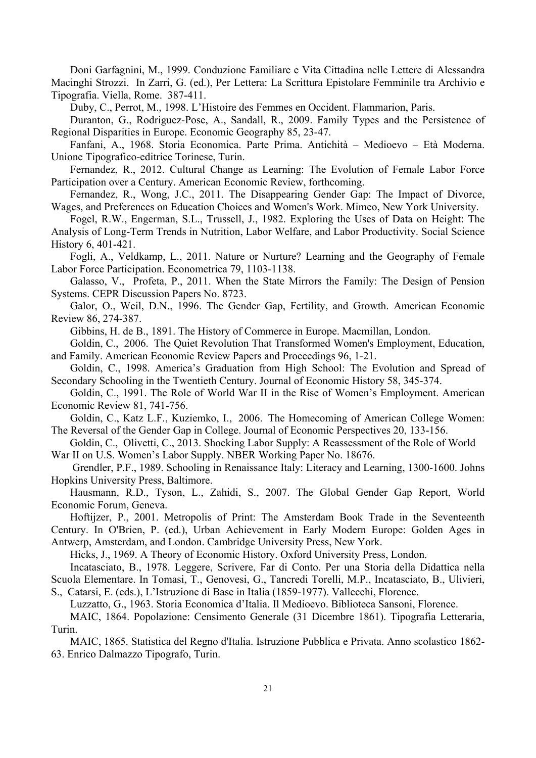Doni Garfagnini, M., 1999. Conduzione Familiare e Vita Cittadina nelle Lettere di Alessandra Macinghi Strozzi. In Zarri, G. (ed.), Per Lettera: La Scrittura Epistolare Femminile tra Archivio e Tipografia. Viella, Rome. 387-411.

Duby, C., Perrot, M., 1998. L'Histoire des Femmes en Occident. Flammarion, Paris.

Duranton, G., Rodriguez-Pose, A., Sandall, R., 2009. Family Types and the Persistence of Regional Disparities in Europe. Economic Geography 85, 23-47.

Fanfani, A., 1968. Storia Economica. Parte Prima. Antichità – Medioevo – Età Moderna. Unione Tipografico-editrice Torinese, Turin.

Fernandez, R., 2012. Cultural Change as Learning: The Evolution of Female Labor Force Participation over a Century. American Economic Review, forthcoming.

Fernandez, R., Wong, J.C., 2011. The Disappearing Gender Gap: The Impact of Divorce, Wages, and Preferences on Education Choices and Women's Work. Mimeo, New York University.

Fogel, R.W., Engerman, S.L., Trussell, J., 1982. Exploring the Uses of Data on Height: The Analysis of Long-Term Trends in Nutrition, Labor Welfare, and Labor Productivity. Social Science History 6, 401-421.

Fogli, A., Veldkamp, L., 2011. Nature or Nurture? Learning and the Geography of Female Labor Force Participation. Econometrica 79, 1103-1138.

Galasso, V., Profeta, P., 2011. When the State Mirrors the Family: The Design of Pension Systems. CEPR Discussion Papers No. 8723.

Galor, O., Weil, D.N., 1996. The Gender Gap, Fertility, and Growth. American Economic Review 86, 274-387.

Gibbins, H. de B., 1891. The History of Commerce in Europe. Macmillan, London.

Goldin, C., 2006. The Quiet Revolution That Transformed Women's Employment, Education, and Family. American Economic Review Papers and Proceedings 96, 1-21.

Goldin, C., 1998. America's Graduation from High School: The Evolution and Spread of Secondary Schooling in the Twentieth Century. Journal of Economic History 58, 345-374.

Goldin, C., 1991. The Role of World War II in the Rise of Women's Employment. American Economic Review 81, 741-756.

Goldin, C., Katz L.F., Kuziemko, I., 2006. The Homecoming of American College Women: The Reversal of the Gender Gap in College. Journal of Economic Perspectives 20, 133-156.

 Goldin, C., Olivetti, C., 2013. Shocking Labor Supply: A Reassessment of the Role of World War II on U.S. Women's Labor Supply. NBER Working Paper No. 18676.

Grendler, P.F., 1989. Schooling in Renaissance Italy: Literacy and Learning, 1300-1600. Johns Hopkins University Press, Baltimore.

Hausmann, R.D., Tyson, L., Zahidi, S., 2007. The Global Gender Gap Report, World Economic Forum, Geneva.

Hoftijzer, P., 2001. Metropolis of Print: The Amsterdam Book Trade in the Seventeenth Century. In O'Brien, P. (ed.), Urban Achievement in Early Modern Europe: Golden Ages in Antwerp, Amsterdam, and London. Cambridge University Press, New York.

Hicks, J., 1969. A Theory of Economic History. Oxford University Press, London.

Incatasciato, B., 1978. Leggere, Scrivere, Far di Conto. Per una Storia della Didattica nella

Scuola Elementare. In Tomasi, T., Genovesi, G., Tancredi Torelli, M.P., Incatasciato, B., Ulivieri,

S., Catarsi, E. (eds.), L'Istruzione di Base in Italia (1859-1977). Vallecchi, Florence.

Luzzatto, G., 1963. Storia Economica d'Italia. Il Medioevo. Biblioteca Sansoni, Florence.

MAIC, 1864. Popolazione: Censimento Generale (31 Dicembre 1861). Tipografia Letteraria, Turin.

MAIC, 1865. Statistica del Regno d'Italia. Istruzione Pubblica e Privata. Anno scolastico 1862- 63. Enrico Dalmazzo Tipografo, Turin.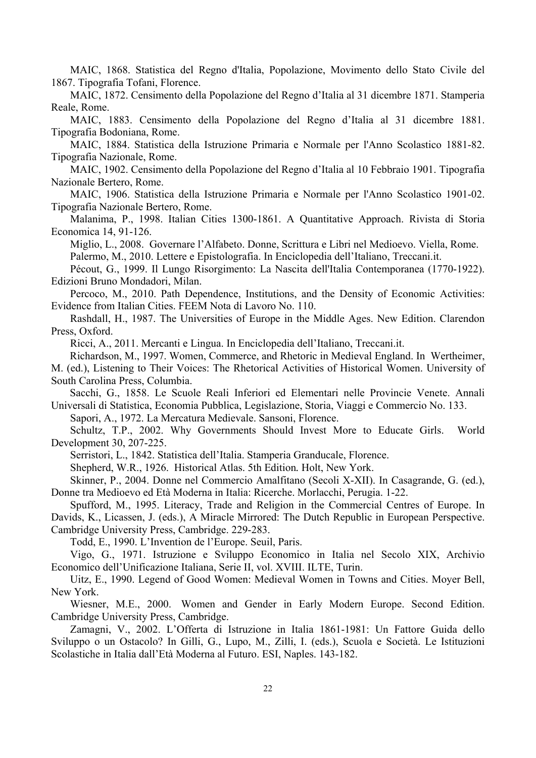MAIC, 1868. Statistica del Regno d'Italia, Popolazione, Movimento dello Stato Civile del 1867. Tipografia Tofani, Florence.

MAIC, 1872. Censimento della Popolazione del Regno d'Italia al 31 dicembre 1871. Stamperia Reale, Rome.

MAIC, 1883. Censimento della Popolazione del Regno d'Italia al 31 dicembre 1881. Tipografia Bodoniana, Rome.

MAIC, 1884. Statistica della Istruzione Primaria e Normale per l'Anno Scolastico 1881-82. Tipografia Nazionale, Rome.

MAIC, 1902. Censimento della Popolazione del Regno d'Italia al 10 Febbraio 1901. Tipografia Nazionale Bertero, Rome.

MAIC, 1906. Statistica della Istruzione Primaria e Normale per l'Anno Scolastico 1901-02. Tipografia Nazionale Bertero, Rome.

Malanima, P., 1998. Italian Cities 1300-1861. A Quantitative Approach. Rivista di Storia Economica 14, 91-126.

Miglio, L., 2008. Governare l'Alfabeto. Donne, Scrittura e Libri nel Medioevo. Viella, Rome. Palermo, M., 2010. Lettere e Epistolografia. In Enciclopedia dell'Italiano, Treccani.it.

Pécout, G., 1999. Il Lungo Risorgimento: La Nascita dell'Italia Contemporanea (1770-1922). Edizioni Bruno Mondadori, Milan.

Percoco, M., 2010. Path Dependence, Institutions, and the Density of Economic Activities: Evidence from Italian Cities. FEEM Nota di Lavoro No. 110.

Rashdall, H., 1987. The Universities of Europe in the Middle Ages. New Edition. Clarendon Press, Oxford.

Ricci, A., 2011. Mercanti e Lingua. In Enciclopedia dell'Italiano, Treccani.it.

Richardson, M., 1997. Women, Commerce, and Rhetoric in Medieval England. In Wertheimer,

M. (ed.), Listening to Their Voices: The Rhetorical Activities of Historical Women. University of South Carolina Press, Columbia.

 Sacchi, G., 1858. Le Scuole Reali Inferiori ed Elementari nelle Provincie Venete. Annali Universali di Statistica, Economia Pubblica, Legislazione, Storia, Viaggi e Commercio No. 133.

Sapori, A., 1972. La Mercatura Medievale. Sansoni, Florence.

Schultz, T.P., 2002. Why Governments Should Invest More to Educate Girls. World Development 30, 207-225.

Serristori, L., 1842. Statistica dell'Italia. Stamperia Granducale, Florence.

Shepherd, W.R., 1926. Historical Atlas. 5th Edition*.* Holt, New York.

Skinner, P., 2004. Donne nel Commercio Amalfitano (Secoli X-XII). In Casagrande, G. (ed.), Donne tra Medioevo ed Età Moderna in Italia: Ricerche. Morlacchi, Perugia. 1-22.

Spufford, M., 1995. Literacy, Trade and Religion in the Commercial Centres of Europe. In Davids, K., Licassen, J. (eds.), A Miracle Mirrored: The Dutch Republic in European Perspective. Cambridge University Press, Cambridge. 229-283.

Todd, E., 1990. L'Invention de l'Europe. Seuil, Paris.

Vigo, G., 1971. Istruzione e Sviluppo Economico in Italia nel Secolo XIX, Archivio Economico dell'Unificazione Italiana, Serie II, vol. XVIII. ILTE, Turin.

Uitz, E., 1990. Legend of Good Women: Medieval Women in Towns and Cities. Moyer Bell, New York.

Wiesner, M.E., 2000. Women and Gender in Early Modern Europe. Second Edition. Cambridge University Press, Cambridge.

Zamagni, V., 2002. L'Offerta di Istruzione in Italia 1861-1981: Un Fattore Guida dello Sviluppo o un Ostacolo? In Gilli, G., Lupo, M., Zilli, I. (eds.), Scuola e Società. Le Istituzioni Scolastiche in Italia dall'Età Moderna al Futuro. ESI, Naples. 143-182.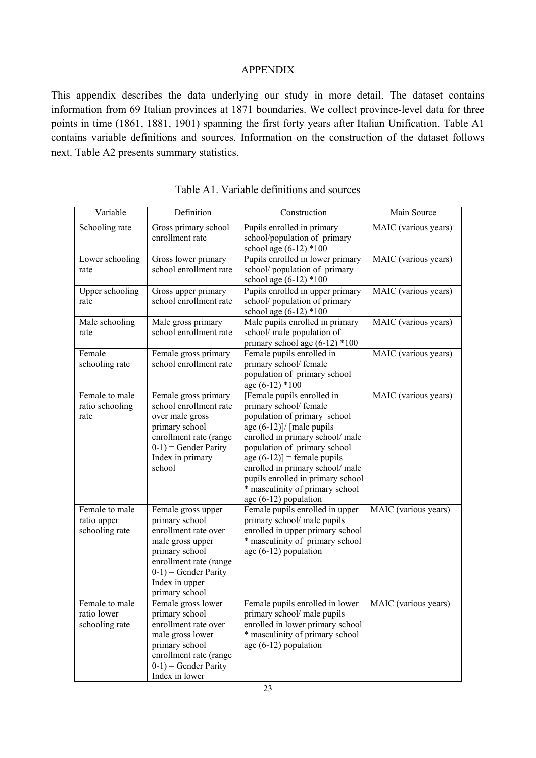## APPENDIX

This appendix describes the data underlying our study in more detail. The dataset contains information from 69 Italian provinces at 1871 boundaries. We collect province-level data for three points in time (1861, 1881, 1901) spanning the first forty years after Italian Unification. Table A1 contains variable definitions and sources. Information on the construction of the dataset follows next. Table A2 presents summary statistics.

| Variable                                        | Definition                                                                                                                                                                                  | Construction                                                                                                                                                                                                                                                                                                                                                    | Main Source          |
|-------------------------------------------------|---------------------------------------------------------------------------------------------------------------------------------------------------------------------------------------------|-----------------------------------------------------------------------------------------------------------------------------------------------------------------------------------------------------------------------------------------------------------------------------------------------------------------------------------------------------------------|----------------------|
| Schooling rate                                  | Gross primary school<br>enrollment rate                                                                                                                                                     | Pupils enrolled in primary<br>school/population of primary<br>school age (6-12) *100                                                                                                                                                                                                                                                                            | MAIC (various years) |
| Lower schooling<br>rate                         | Gross lower primary<br>school enrollment rate                                                                                                                                               | Pupils enrolled in lower primary<br>school/population of primary<br>school age $(6-12)$ *100                                                                                                                                                                                                                                                                    | MAIC (various years) |
| Upper schooling<br>rate                         | Gross upper primary<br>school enrollment rate                                                                                                                                               | Pupils enrolled in upper primary<br>school/population of primary<br>school age $(6-12)$ *100                                                                                                                                                                                                                                                                    | MAIC (various years) |
| Male schooling<br>rate                          | Male gross primary<br>school enrollment rate                                                                                                                                                | Male pupils enrolled in primary<br>school/ male population of<br>primary school age $(6-12)$ *100                                                                                                                                                                                                                                                               | MAIC (various years) |
| Female<br>schooling rate                        | Female gross primary<br>school enrollment rate                                                                                                                                              | Female pupils enrolled in<br>primary school/ female<br>population of primary school<br>age $(6-12)$ *100                                                                                                                                                                                                                                                        | MAIC (various years) |
| Female to male<br>ratio schooling<br>rate       | Female gross primary<br>school enrollment rate<br>over male gross<br>primary school<br>enrollment rate (range<br>$0-1$ ) = Gender Parity<br>Index in primary<br>school                      | [Female pupils enrolled in<br>primary school/ female<br>population of primary school<br>age $(6-12)$ ]/ [male pupils<br>enrolled in primary school/male<br>population of primary school<br>age $(6-12)$ ] = female pupils<br>enrolled in primary school/male<br>pupils enrolled in primary school<br>* masculinity of primary school<br>age $(6-12)$ population | MAIC (various years) |
| Female to male<br>ratio upper<br>schooling rate | Female gross upper<br>primary school<br>enrollment rate over<br>male gross upper<br>primary school<br>enrollment rate (range<br>$(0-1)$ = Gender Parity<br>Index in upper<br>primary school | Female pupils enrolled in upper<br>primary school/ male pupils<br>enrolled in upper primary school<br>* masculinity of primary school<br>age $(6-12)$ population                                                                                                                                                                                                | MAIC (various years) |
| Female to male<br>ratio lower<br>schooling rate | Female gross lower<br>primary school<br>enrollment rate over<br>male gross lower<br>primary school<br>enrollment rate (range<br>$(0-1)$ = Gender Parity<br>Index in lower                   | Female pupils enrolled in lower<br>primary school/ male pupils<br>enrolled in lower primary school<br>* masculinity of primary school<br>age $(6-12)$ population                                                                                                                                                                                                | MAIC (various years) |

Table A1. Variable definitions and sources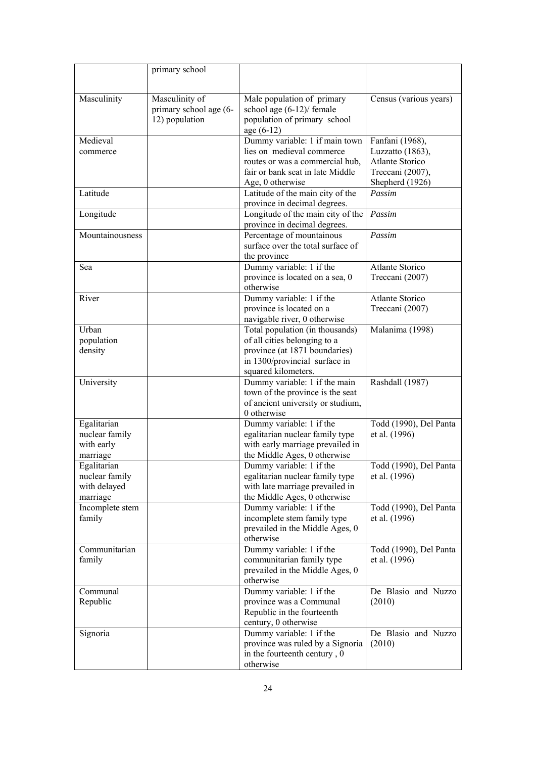|                         | primary school                           |                                                                   |                                         |
|-------------------------|------------------------------------------|-------------------------------------------------------------------|-----------------------------------------|
|                         |                                          |                                                                   |                                         |
|                         |                                          |                                                                   |                                         |
| Masculinity             | Masculinity of                           | Male population of primary                                        | Census (various years)                  |
|                         | primary school age (6-<br>12) population | school age (6-12)/ female<br>population of primary school         |                                         |
|                         |                                          | age (6-12)                                                        |                                         |
| Medieval                |                                          | Dummy variable: 1 if main town                                    | Fanfani (1968),                         |
| commerce                |                                          | lies on medieval commerce                                         | Luzzatto (1863),                        |
|                         |                                          | routes or was a commercial hub,                                   | <b>Atlante Storico</b>                  |
|                         |                                          | fair or bank seat in late Middle                                  | Treccani (2007),                        |
|                         |                                          | Age, 0 otherwise                                                  | Shepherd (1926)                         |
| Latitude                |                                          | Latitude of the main city of the                                  | Passim                                  |
|                         |                                          | province in decimal degrees.                                      |                                         |
| Longitude               |                                          | Longitude of the main city of the<br>province in decimal degrees. | Passim                                  |
| Mountainousness         |                                          | Percentage of mountainous                                         | Passim                                  |
|                         |                                          | surface over the total surface of                                 |                                         |
|                         |                                          | the province                                                      |                                         |
| Sea                     |                                          | Dummy variable: 1 if the                                          | Atlante Storico                         |
|                         |                                          | province is located on a sea, 0                                   | Treccani (2007)                         |
|                         |                                          | otherwise                                                         |                                         |
| River                   |                                          | Dummy variable: 1 if the                                          | <b>Atlante Storico</b>                  |
|                         |                                          | province is located on a                                          | Treccani (2007)                         |
|                         |                                          | navigable river, 0 otherwise                                      |                                         |
| Urban                   |                                          | Total population (in thousands)                                   | Malanima (1998)                         |
| population<br>density   |                                          | of all cities belonging to a<br>province (at 1871 boundaries)     |                                         |
|                         |                                          | in 1300/provincial surface in                                     |                                         |
|                         |                                          | squared kilometers.                                               |                                         |
| University              |                                          | Dummy variable: 1 if the main                                     | Rashdall (1987)                         |
|                         |                                          | town of the province is the seat                                  |                                         |
|                         |                                          | of ancient university or studium,                                 |                                         |
|                         |                                          | 0 otherwise                                                       |                                         |
| Egalitarian             |                                          | Dummy variable: 1 if the                                          | Todd (1990), Del Panta                  |
| nuclear family          |                                          | egalitarian nuclear family type                                   | et al. (1996)                           |
| with early<br>marriage  |                                          | with early marriage prevailed in<br>the Middle Ages, 0 otherwise  |                                         |
| Egalitarian             |                                          | Dummy variable: 1 if the                                          | Todd (1990), Del Panta                  |
| nuclear family          |                                          | egalitarian nuclear family type                                   | et al. (1996)                           |
| with delayed            |                                          | with late marriage prevailed in                                   |                                         |
| marriage                |                                          | the Middle Ages, 0 otherwise                                      |                                         |
| Incomplete stem         |                                          | Dummy variable: 1 if the                                          | Todd (1990), Del Panta                  |
| family                  |                                          | incomplete stem family type                                       | et al. (1996)                           |
|                         |                                          | prevailed in the Middle Ages, 0                                   |                                         |
|                         |                                          | otherwise                                                         |                                         |
| Communitarian<br>family |                                          | Dummy variable: 1 if the<br>communitarian family type             | Todd (1990), Del Panta<br>et al. (1996) |
|                         |                                          | prevailed in the Middle Ages, 0                                   |                                         |
|                         |                                          | otherwise                                                         |                                         |
| Communal                |                                          | Dummy variable: 1 if the                                          | De Blasio and Nuzzo                     |
| Republic                |                                          | province was a Communal                                           | (2010)                                  |
|                         |                                          | Republic in the fourteenth                                        |                                         |
|                         |                                          | century, 0 otherwise                                              |                                         |
| Signoria                |                                          | Dummy variable: 1 if the                                          | De Blasio and Nuzzo                     |
|                         |                                          | province was ruled by a Signoria                                  | (2010)                                  |
|                         |                                          | in the fourteenth century, 0<br>otherwise                         |                                         |
|                         |                                          |                                                                   |                                         |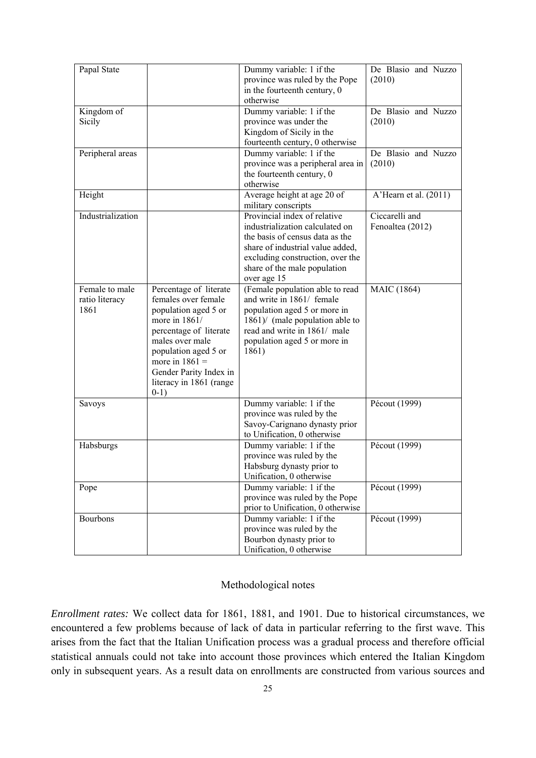| Papal State       |                         | Dummy variable: 1 if the          | De Blasio and Nuzzo   |
|-------------------|-------------------------|-----------------------------------|-----------------------|
|                   |                         | province was ruled by the Pope    | (2010)                |
|                   |                         | in the fourteenth century, 0      |                       |
|                   |                         | otherwise                         |                       |
| Kingdom of        |                         | Dummy variable: 1 if the          | De Blasio and Nuzzo   |
| Sicily            |                         | province was under the            | (2010)                |
|                   |                         |                                   |                       |
|                   |                         | Kingdom of Sicily in the          |                       |
|                   |                         | fourteenth century, 0 otherwise   |                       |
| Peripheral areas  |                         | Dummy variable: 1 if the          | De Blasio and Nuzzo   |
|                   |                         | province was a peripheral area in | (2010)                |
|                   |                         | the fourteenth century, 0         |                       |
|                   |                         | otherwise                         |                       |
| Height            |                         | Average height at age 20 of       | A'Hearn et al. (2011) |
|                   |                         | military conscripts               |                       |
| Industrialization |                         | Provincial index of relative      | Ciccarelli and        |
|                   |                         | industrialization calculated on   | Fenoaltea (2012)      |
|                   |                         | the basis of census data as the   |                       |
|                   |                         | share of industrial value added,  |                       |
|                   |                         | excluding construction, over the  |                       |
|                   |                         | share of the male population      |                       |
|                   |                         | over age 15                       |                       |
| Female to male    | Percentage of literate  | (Female population able to read   | <b>MAIC</b> (1864)    |
| ratio literacy    | females over female     | and write in 1861/ female         |                       |
| 1861              | population aged 5 or    | population aged 5 or more in      |                       |
|                   | more in $1861/$         | $1861$ / (male population able to |                       |
|                   | percentage of literate  | read and write in 1861/ male      |                       |
|                   | males over male         | population aged 5 or more in      |                       |
|                   | population aged 5 or    | 1861)                             |                       |
|                   | more in $1861 =$        |                                   |                       |
|                   | Gender Parity Index in  |                                   |                       |
|                   | literacy in 1861 (range |                                   |                       |
|                   | $0-1)$                  |                                   |                       |
| Savoys            |                         | Dummy variable: 1 if the          | Pécout (1999)         |
|                   |                         | province was ruled by the         |                       |
|                   |                         | Savoy-Carignano dynasty prior     |                       |
|                   |                         | to Unification, 0 otherwise       |                       |
|                   |                         |                                   | Pécout (1999)         |
| Habsburgs         |                         | Dummy variable: 1 if the          |                       |
|                   |                         | province was ruled by the         |                       |
|                   |                         | Habsburg dynasty prior to         |                       |
|                   |                         | Unification, 0 otherwise          |                       |
| Pope              |                         | Dummy variable: 1 if the          | Pécout (1999)         |
|                   |                         | province was ruled by the Pope    |                       |
|                   |                         | prior to Unification, 0 otherwise |                       |
| Bourbons          |                         | Dummy variable: 1 if the          | Pécout (1999)         |
|                   |                         | province was ruled by the         |                       |
|                   |                         | Bourbon dynasty prior to          |                       |
|                   |                         | Unification, 0 otherwise          |                       |

## Methodological notes

*Enrollment rates:* We collect data for 1861, 1881, and 1901. Due to historical circumstances, we encountered a few problems because of lack of data in particular referring to the first wave. This arises from the fact that the Italian Unification process was a gradual process and therefore official statistical annuals could not take into account those provinces which entered the Italian Kingdom only in subsequent years. As a result data on enrollments are constructed from various sources and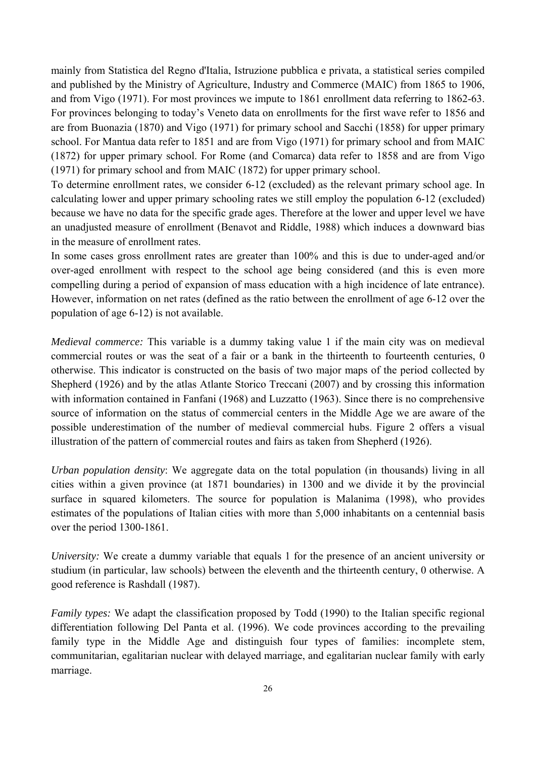mainly from Statistica del Regno d'Italia, Istruzione pubblica e privata, a statistical series compiled and published by the Ministry of Agriculture, Industry and Commerce (MAIC) from 1865 to 1906, and from Vigo (1971). For most provinces we impute to 1861 enrollment data referring to 1862-63. For provinces belonging to today's Veneto data on enrollments for the first wave refer to 1856 and are from Buonazia (1870) and Vigo (1971) for primary school and Sacchi (1858) for upper primary school. For Mantua data refer to 1851 and are from Vigo (1971) for primary school and from MAIC (1872) for upper primary school. For Rome (and Comarca) data refer to 1858 and are from Vigo (1971) for primary school and from MAIC (1872) for upper primary school.

To determine enrollment rates, we consider 6-12 (excluded) as the relevant primary school age. In calculating lower and upper primary schooling rates we still employ the population 6-12 (excluded) because we have no data for the specific grade ages. Therefore at the lower and upper level we have an unadjusted measure of enrollment (Benavot and Riddle, 1988) which induces a downward bias in the measure of enrollment rates.

In some cases gross enrollment rates are greater than 100% and this is due to under-aged and/or over-aged enrollment with respect to the school age being considered (and this is even more compelling during a period of expansion of mass education with a high incidence of late entrance). However, information on net rates (defined as the ratio between the enrollment of age 6-12 over the population of age 6-12) is not available.

*Medieval commerce:* This variable is a dummy taking value 1 if the main city was on medieval commercial routes or was the seat of a fair or a bank in the thirteenth to fourteenth centuries, 0 otherwise. This indicator is constructed on the basis of two major maps of the period collected by Shepherd (1926) and by the atlas Atlante Storico Treccani (2007) and by crossing this information with information contained in Fanfani (1968) and Luzzatto (1963). Since there is no comprehensive source of information on the status of commercial centers in the Middle Age we are aware of the possible underestimation of the number of medieval commercial hubs. Figure 2 offers a visual illustration of the pattern of commercial routes and fairs as taken from Shepherd (1926).

*Urban population density*: We aggregate data on the total population (in thousands) living in all cities within a given province (at 1871 boundaries) in 1300 and we divide it by the provincial surface in squared kilometers. The source for population is Malanima (1998), who provides estimates of the populations of Italian cities with more than 5,000 inhabitants on a centennial basis over the period 1300-1861.

*University:* We create a dummy variable that equals 1 for the presence of an ancient university or studium (in particular, law schools) between the eleventh and the thirteenth century, 0 otherwise. A good reference is Rashdall (1987).

*Family types:* We adapt the classification proposed by Todd (1990) to the Italian specific regional differentiation following Del Panta et al. (1996). We code provinces according to the prevailing family type in the Middle Age and distinguish four types of families: incomplete stem, communitarian, egalitarian nuclear with delayed marriage, and egalitarian nuclear family with early marriage.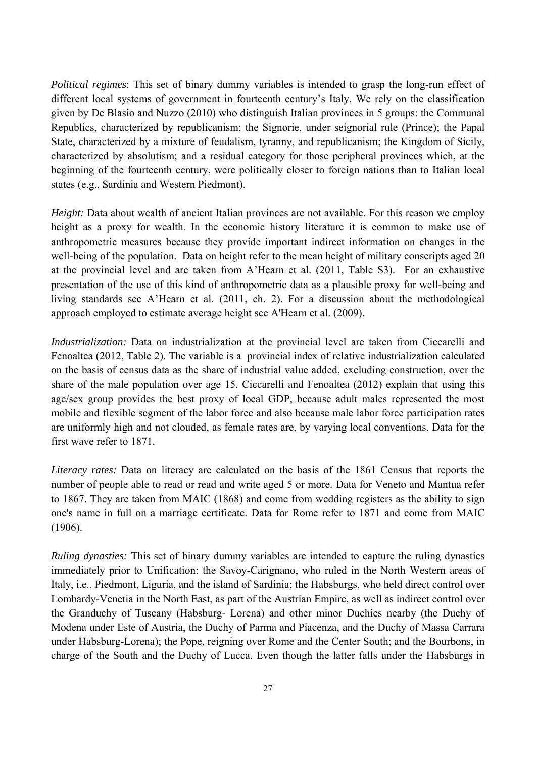*Political regimes*: This set of binary dummy variables is intended to grasp the long-run effect of different local systems of government in fourteenth century's Italy. We rely on the classification given by De Blasio and Nuzzo (2010) who distinguish Italian provinces in 5 groups: the Communal Republics, characterized by republicanism; the Signorie, under seignorial rule (Prince); the Papal State, characterized by a mixture of feudalism, tyranny, and republicanism; the Kingdom of Sicily, characterized by absolutism; and a residual category for those peripheral provinces which, at the beginning of the fourteenth century, were politically closer to foreign nations than to Italian local states (e.g., Sardinia and Western Piedmont).

*Height:* Data about wealth of ancient Italian provinces are not available. For this reason we employ height as a proxy for wealth. In the economic history literature it is common to make use of anthropometric measures because they provide important indirect information on changes in the well-being of the population. Data on height refer to the mean height of military conscripts aged 20 at the provincial level and are taken from A'Hearn et al. (2011, Table S3). For an exhaustive presentation of the use of this kind of anthropometric data as a plausible proxy for well-being and living standards see A'Hearn et al. (2011, ch. 2). For a discussion about the methodological approach employed to estimate average height see A'Hearn et al. (2009).

*Industrialization:* Data on industrialization at the provincial level are taken from Ciccarelli and Fenoaltea (2012, Table 2). The variable is a provincial index of relative industrialization calculated on the basis of census data as the share of industrial value added, excluding construction, over the share of the male population over age 15. Ciccarelli and Fenoaltea (2012) explain that using this age/sex group provides the best proxy of local GDP, because adult males represented the most mobile and flexible segment of the labor force and also because male labor force participation rates are uniformly high and not clouded, as female rates are, by varying local conventions. Data for the first wave refer to 1871.

*Literacy rates:* Data on literacy are calculated on the basis of the 1861 Census that reports the number of people able to read or read and write aged 5 or more. Data for Veneto and Mantua refer to 1867. They are taken from MAIC (1868) and come from wedding registers as the ability to sign one's name in full on a marriage certificate. Data for Rome refer to 1871 and come from MAIC (1906).

*Ruling dynasties:* This set of binary dummy variables are intended to capture the ruling dynasties immediately prior to Unification: the Savoy-Carignano, who ruled in the North Western areas of Italy, i.e., Piedmont, Liguria, and the island of Sardinia; the Habsburgs, who held direct control over Lombardy-Venetia in the North East, as part of the Austrian Empire, as well as indirect control over the Granduchy of Tuscany (Habsburg- Lorena) and other minor Duchies nearby (the Duchy of Modena under Este of Austria, the Duchy of Parma and Piacenza, and the Duchy of Massa Carrara under Habsburg-Lorena); the Pope, reigning over Rome and the Center South; and the Bourbons, in charge of the South and the Duchy of Lucca. Even though the latter falls under the Habsburgs in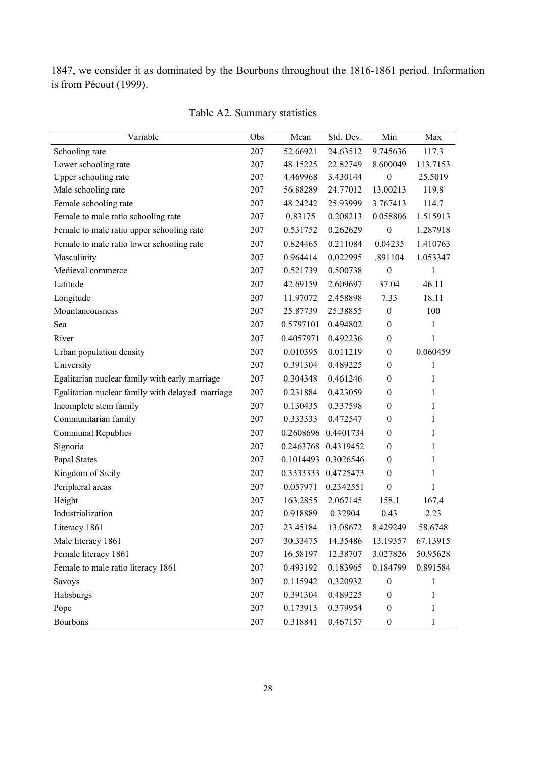1847, we consider it as dominated by the Bourbons throughout the 1816-1861 period. Information is from Pécout (1999).

| Variable                                         | Obs | Mean      | Std. Dev. | Min              | Max          |
|--------------------------------------------------|-----|-----------|-----------|------------------|--------------|
| Schooling rate                                   | 207 | 52.66921  | 24.63512  | 9.745636         | 117.3        |
| Lower schooling rate                             | 207 | 48.15225  | 22.82749  | 8.600049         | 113.7153     |
| Upper schooling rate                             | 207 | 4.469968  | 3.430144  | $\boldsymbol{0}$ | 25.5019      |
| Male schooling rate                              | 207 | 56.88289  | 24.77012  | 13.00213         | 119.8        |
| Female schooling rate                            | 207 | 48.24242  | 25.93999  | 3.767413         | 114.7        |
| Female to male ratio schooling rate              | 207 | 0.83175   | 0.208213  | 0.058806         | 1.515913     |
| Female to male ratio upper schooling rate        | 207 | 0.531752  | 0.262629  | $\boldsymbol{0}$ | 1.287918     |
| Female to male ratio lower schooling rate        | 207 | 0.824465  | 0.211084  | 0.04235          | 1.410763     |
| Masculinity                                      | 207 | 0.964414  | 0.022995  | .891104          | 1.053347     |
| Medieval commerce                                | 207 | 0.521739  | 0.500738  | $\boldsymbol{0}$ | $\mathbf{1}$ |
| Latitude                                         | 207 | 42.69159  | 2.609697  | 37.04            | 46.11        |
| Longitude                                        | 207 | 11.97072  | 2.458898  | 7.33             | 18.11        |
| Mountaneousness                                  | 207 | 25.87739  | 25.38855  | $\boldsymbol{0}$ | 100          |
| Sea                                              | 207 | 0.5797101 | 0.494802  | $\theta$         | 1            |
| River                                            | 207 | 0.4057971 | 0.492236  | $\mathbf{0}$     | 1            |
| Urban population density                         | 207 | 0.010395  | 0.011219  | $\boldsymbol{0}$ | 0.060459     |
| University                                       | 207 | 0.391304  | 0.489225  | $\theta$         | 1            |
| Egalitarian nuclear family with early marriage   | 207 | 0.304348  | 0.461246  | $\theta$         | 1            |
| Egalitarian nuclear family with delayed marriage | 207 | 0.231884  | 0.423059  | $\theta$         | 1            |
| Incomplete stem family                           | 207 | 0.130435  | 0.337598  | $\boldsymbol{0}$ | 1            |
| Communitarian family                             | 207 | 0.333333  | 0.472547  | $\theta$         | 1            |
| <b>Communal Republics</b>                        | 207 | 0.2608696 | 0.4401734 | $\theta$         | 1            |
| Signoria                                         | 207 | 0.2463768 | 0.4319452 | $\theta$         | 1            |
| <b>Papal States</b>                              | 207 | 0.1014493 | 0.3026546 | $\boldsymbol{0}$ | 1            |
| Kingdom of Sicily                                | 207 | 0.3333333 | 0.4725473 | $\mathbf{0}$     | 1            |
| Peripheral areas                                 | 207 | 0.057971  | 0.2342551 | $\boldsymbol{0}$ | 1            |
| Height                                           | 207 | 163.2855  | 2.067145  | 158.1            | 167.4        |
| Industrialization                                | 207 | 0.918889  | 0.32904   | 0.43             | 2.23         |
| Literacy 1861                                    | 207 | 23.45184  | 13.08672  | 8.429249         | 58.6748      |
| Male literacy 1861                               | 207 | 30.33475  | 14.35486  | 13.19357         | 67.13915     |
| Female literacy 1861                             | 207 | 16.58197  | 12.38707  | 3.027826         | 50.95628     |
| Female to male ratio literacy 1861               | 207 | 0.493192  | 0.183965  | 0.184799         | 0.891584     |
| Savoys                                           | 207 | 0.115942  | 0.320932  | $\mathbf{0}$     | 1            |
| Habsburgs                                        | 207 | 0.391304  | 0.489225  | $\theta$         | 1            |
| Pope                                             | 207 | 0.173913  | 0.379954  | $\boldsymbol{0}$ | 1            |
| Bourbons                                         | 207 | 0.318841  | 0.467157  | $\boldsymbol{0}$ | 1            |

Table A2. Summary statistics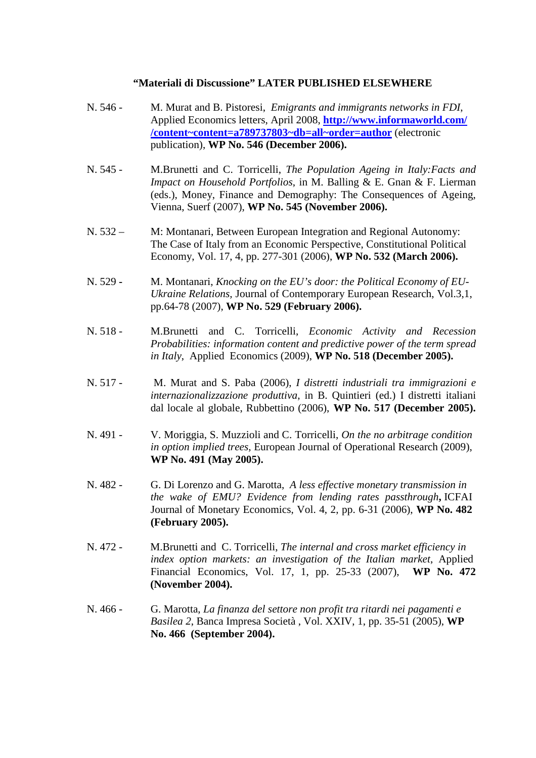#### **"Materiali di Discussione" LATER PUBLISHED ELSEWHERE**

- N. 546 M. Murat and B. Pistoresi, *Emigrants and immigrants networks in FDI*, Applied Economics letters, April 2008, **http://www.informaworld.com/ /content~content=a789737803~db=all~order=author** (electronic publication), **WP No. 546 (December 2006).**
- N. 545 M.Brunetti and C. Torricelli, *The Population Ageing in Italy:Facts and Impact on Household Portfolios*, in M. Balling & E. Gnan & F. Lierman (eds.), Money, Finance and Demography: The Consequences of Ageing, Vienna, Suerf (2007), **WP No. 545 (November 2006).**
- N. 532 –M: Montanari, Between European Integration and Regional Autonomy: The Case of Italy from an Economic Perspective, Constitutional Political Economy, Vol. 17, 4, pp. 277-301 (2006), **WP No. 532 (March 2006).**
- N. 529M. Montanari, *Knocking on the EU's door: the Political Economy of EU- Ukraine Relations,* Journal of Contemporary European Research, Vol.3,1, pp.64-78 (2007), **WP No. 529 (February 2006).**
- N. 518 M.Brunetti and C. Torricelli, *Economic Activity and Recession Probabilities: information content and predictive power of the term spread in Italy*,Applied Economics (2009), **WP No. 518 (December 2005).**
- N. 517 M. Murat and S. Paba (2006), *I distretti industriali tra immigrazioni e internazionalizzazione produttiva*, in B. Quintieri (ed.) I distretti italiani dal locale al globale, Rubbettino (2006), **WP No. 517 (December 2005).**
- N. 491 V. Moriggia, S. Muzzioli and C. Torricelli, *On the no arbitrage condition in option implied trees,* European Journal of Operational Research (2009), **WP No. 491 (May 2005).**
- N. 482 G. Di Lorenzo and G. Marotta, *A less effective monetary transmission in the wake of EMU? Evidence from lending rates passthrough***,** ICFAI Journal of Monetary Economics, Vol. 4, 2, pp. 6-31 (2006), **WP No. 482 (February 2005).**
- N. 472 M.Brunetti and C. Torricelli, *The internal and cross market efficiency in index option markets: an investigation of the Italian market*, Applied Financial Economics, Vol. 17, 1, pp. 25-33 (2007), **WP No. 472 (November 2004).**
- N. 466 G. Marotta, *La finanza del settore non profit tra ritardi nei pagamenti e Basilea 2*, Banca Impresa Società , Vol. XXIV, 1, pp. 35-51 (2005), **WP No. 466 (September 2004).**